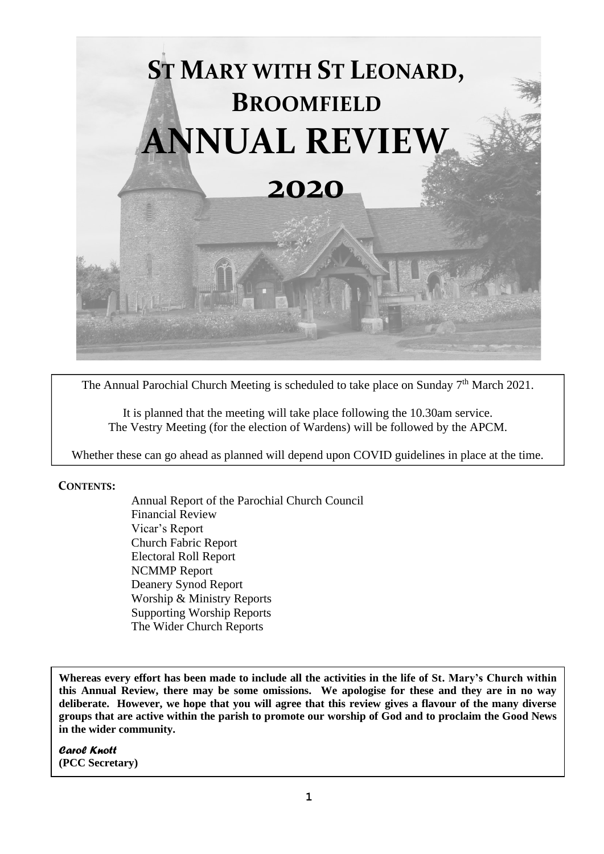

The Annual Parochial Church Meeting is scheduled to take place on Sunday  $7<sup>th</sup>$  March 2021.

It is planned that the meeting will take place following the 10.30am service. The Vestry Meeting (for the election of Wardens) will be followed by the APCM.

Whether these can go ahead as planned will depend upon COVID guidelines in place at the time.

#### **CONTENTS:**

Annual Report of the Parochial Church Council Financial Review Vicar's Report Church Fabric Report Electoral Roll Report NCMMP Report Deanery Synod Report Worship & Ministry Reports Supporting Worship Reports The Wider Church Reports

**Whereas every effort has been made to include all the activities in the life of St. Mary's Church within this Annual Review, there may be some omissions. We apologise for these and they are in no way deliberate. However, we hope that you will agree that this review gives a flavour of the many diverse groups that are active within the parish to promote our worship of God and to proclaim the Good News in the wider community.** 

*Carol Knott* **(PCC Secretary)**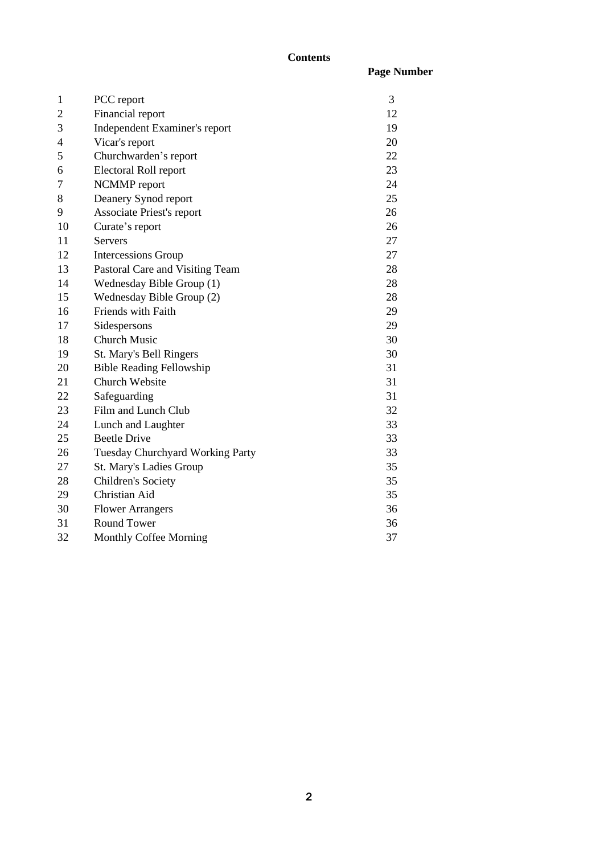### **Contents**

|    |                                 | <b>Page Number</b> |
|----|---------------------------------|--------------------|
| 1  | PCC report                      | 3                  |
| 2  | Financial report                | 12                 |
| 3  | Independent Examiner's report   | 19                 |
| 4  | Vicar's report                  | 20                 |
| 5  | Churchwarden's report           | 22                 |
| 6  | Electoral Roll report           | 23                 |
| 7  | NCMMP report                    | 24                 |
| 8  | Deanery Synod report            | 25                 |
| 9  | Associate Priest's report       | 26                 |
| 10 | Curate's report                 | 26                 |
| 11 | <b>Servers</b>                  | 27                 |
| 12 | Intercessions Group             | 27                 |
| 13 | Pastoral Care and Visiting Team | 28                 |
| 14 | Wednesday Bible Group (1)       | 28                 |
| 15 | Wednesday Bible Group (2)       | 28                 |
| 16 | Friends with Faith              | 29                 |
| 17 | Sidespersons                    | 29                 |
| 18 | <b>Church Music</b>             | 30                 |
| 19 | St. Mary's Bell Ringers         | 30                 |
|    |                                 |                    |

| 10 | Curate's report                         | 26 |
|----|-----------------------------------------|----|
| 11 | Servers                                 | 27 |
| 12 | Intercessions Group                     | 27 |
| 13 | Pastoral Care and Visiting Team         | 28 |
| 14 | Wednesday Bible Group (1)               | 28 |
| 15 | Wednesday Bible Group (2)               | 28 |
| 16 | <b>Friends with Faith</b>               | 29 |
| 17 | Sidespersons                            | 29 |
| 18 | <b>Church Music</b>                     | 30 |
| 19 | St. Mary's Bell Ringers                 | 30 |
| 20 | <b>Bible Reading Fellowship</b>         | 31 |
| 21 | Church Website                          | 31 |
| 22 | Safeguarding                            | 31 |
| 23 | Film and Lunch Club                     | 32 |
| 24 | Lunch and Laughter                      | 33 |
| 25 | <b>Beetle Drive</b>                     | 33 |
| 26 | <b>Tuesday Churchyard Working Party</b> | 33 |
| 27 | St. Mary's Ladies Group                 | 35 |
| 28 | Children's Society                      | 35 |
| 29 | Christian Aid                           | 35 |
| 30 | <b>Flower Arrangers</b>                 | 36 |
| 31 | Round Tower                             | 36 |

| . <u>. .</u> | $100$ $110$ $100$      | . |
|--------------|------------------------|---|
| 32           | Monthly Coffee Morning |   |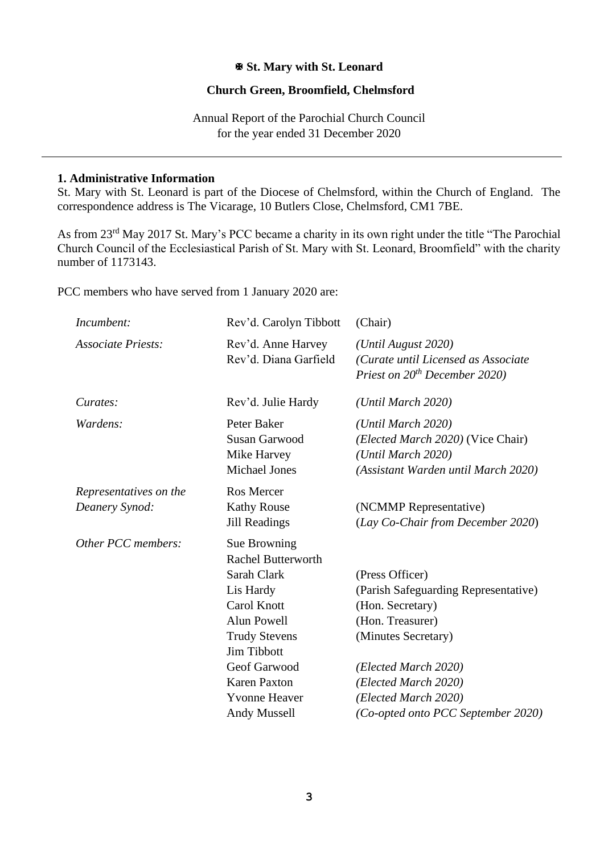#### **St. Mary with St. Leonard**

#### **Church Green, Broomfield, Chelmsford**

Annual Report of the Parochial Church Council for the year ended 31 December 2020

#### **1. Administrative Information**

St. Mary with St. Leonard is part of the Diocese of Chelmsford, within the Church of England. The correspondence address is The Vicarage, 10 Butlers Close, Chelmsford, CM1 7BE.

As from 23rd May 2017 St. Mary's PCC became a charity in its own right under the title "The Parochial Church Council of the Ecclesiastical Parish of St. Mary with St. Leonard, Broomfield" with the charity number of 1173143.

PCC members who have served from 1 January 2020 are:

| Incumbent:                               | Rev'd. Carolyn Tibbott                                                                                                                                                                                                           | (Chair)                                                                                                                                                                                                                              |
|------------------------------------------|----------------------------------------------------------------------------------------------------------------------------------------------------------------------------------------------------------------------------------|--------------------------------------------------------------------------------------------------------------------------------------------------------------------------------------------------------------------------------------|
| <b>Associate Priests:</b>                | Rev'd. Anne Harvey<br>Rev'd. Diana Garfield                                                                                                                                                                                      | (Until August 2020)<br>(Curate until Licensed as Associate<br>Priest on $20^{th}$ December 2020)                                                                                                                                     |
| Curates:                                 | Rev'd. Julie Hardy                                                                                                                                                                                                               | (Until March 2020)                                                                                                                                                                                                                   |
| Wardens:                                 | Peter Baker<br><b>Susan Garwood</b><br>Mike Harvey<br><b>Michael Jones</b>                                                                                                                                                       | (Until March 2020)<br>( <i>Elected March 2020</i> ) (Vice Chair)<br>(Until March 2020)<br>(Assistant Warden until March 2020)                                                                                                        |
| Representatives on the<br>Deanery Synod: | Ros Mercer<br><b>Kathy Rouse</b><br>Jill Readings                                                                                                                                                                                | (NCMMP Representative)<br>(Lay Co-Chair from December 2020)                                                                                                                                                                          |
| Other PCC members:                       | Sue Browning<br><b>Rachel Butterworth</b><br>Sarah Clark<br>Lis Hardy<br>Carol Knott<br>Alun Powell<br><b>Trudy Stevens</b><br><b>Jim Tibbott</b><br>Geof Garwood<br><b>Karen Paxton</b><br><b>Yvonne Heaver</b><br>Andy Mussell | (Press Officer)<br>(Parish Safeguarding Representative)<br>(Hon. Secretary)<br>(Hon. Treasurer)<br>(Minutes Secretary)<br>(Elected March 2020)<br>(Elected March 2020)<br>(Elected March 2020)<br>(Co-opted onto PCC September 2020) |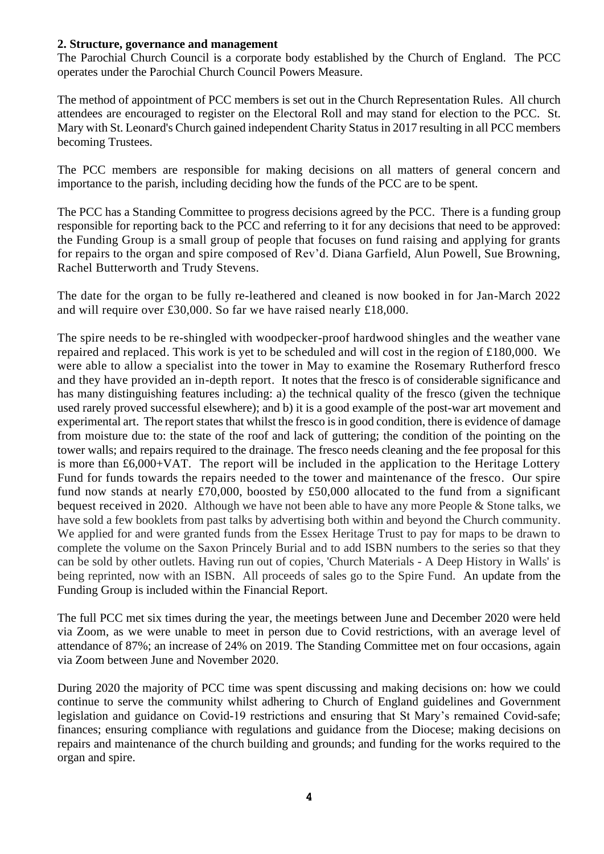#### **2. Structure, governance and management**

The Parochial Church Council is a corporate body established by the Church of England. The PCC operates under the Parochial Church Council Powers Measure.

The method of appointment of PCC members is set out in the Church Representation Rules. All church attendees are encouraged to register on the Electoral Roll and may stand for election to the PCC. St. Mary with St. Leonard's Church gained independent Charity Status in 2017 resulting in all PCC members becoming Trustees.

The PCC members are responsible for making decisions on all matters of general concern and importance to the parish, including deciding how the funds of the PCC are to be spent.

The PCC has a Standing Committee to progress decisions agreed by the PCC. There is a funding group responsible for reporting back to the PCC and referring to it for any decisions that need to be approved: the Funding Group is a small group of people that focuses on fund raising and applying for grants for repairs to the organ and spire composed of Rev'd. Diana Garfield, Alun Powell, Sue Browning, Rachel Butterworth and Trudy Stevens.

The date for the organ to be fully re-leathered and cleaned is now booked in for Jan-March 2022 and will require over £30,000. So far we have raised nearly £18,000.

The spire needs to be re-shingled with woodpecker-proof hardwood shingles and the weather vane repaired and replaced. This work is yet to be scheduled and will cost in the region of £180,000. We were able to allow a specialist into the tower in May to examine the Rosemary Rutherford fresco and they have provided an in-depth report. It notes that the fresco is of considerable significance and has many distinguishing features including: a) the technical quality of the fresco (given the technique used rarely proved successful elsewhere); and b) it is a good example of the post-war art movement and experimental art. The report states that whilst the fresco is in good condition, there is evidence of damage from moisture due to: the state of the roof and lack of guttering; the condition of the pointing on the tower walls; and repairs required to the drainage. The fresco needs cleaning and the fee proposal for this is more than £6,000+VAT. The report will be included in the application to the Heritage Lottery Fund for funds towards the repairs needed to the tower and maintenance of the fresco. Our spire fund now stands at nearly £70,000, boosted by £50,000 allocated to the fund from a significant bequest received in 2020. Although we have not been able to have any more People & Stone talks, we have sold a few booklets from past talks by advertising both within and beyond the Church community. We applied for and were granted funds from the Essex Heritage Trust to pay for maps to be drawn to complete the volume on the Saxon Princely Burial and to add ISBN numbers to the series so that they can be sold by other outlets. Having run out of copies, 'Church Materials - A Deep History in Walls' is being reprinted, now with an ISBN. All proceeds of sales go to the Spire Fund. An update from the Funding Group is included within the Financial Report.

The full PCC met six times during the year, the meetings between June and December 2020 were held via Zoom, as we were unable to meet in person due to Covid restrictions, with an average level of attendance of 87%; an increase of 24% on 2019. The Standing Committee met on four occasions, again via Zoom between June and November 2020.

During 2020 the majority of PCC time was spent discussing and making decisions on: how we could continue to serve the community whilst adhering to Church of England guidelines and Government legislation and guidance on Covid-19 restrictions and ensuring that St Mary's remained Covid-safe; finances; ensuring compliance with regulations and guidance from the Diocese; making decisions on repairs and maintenance of the church building and grounds; and funding for the works required to the organ and spire.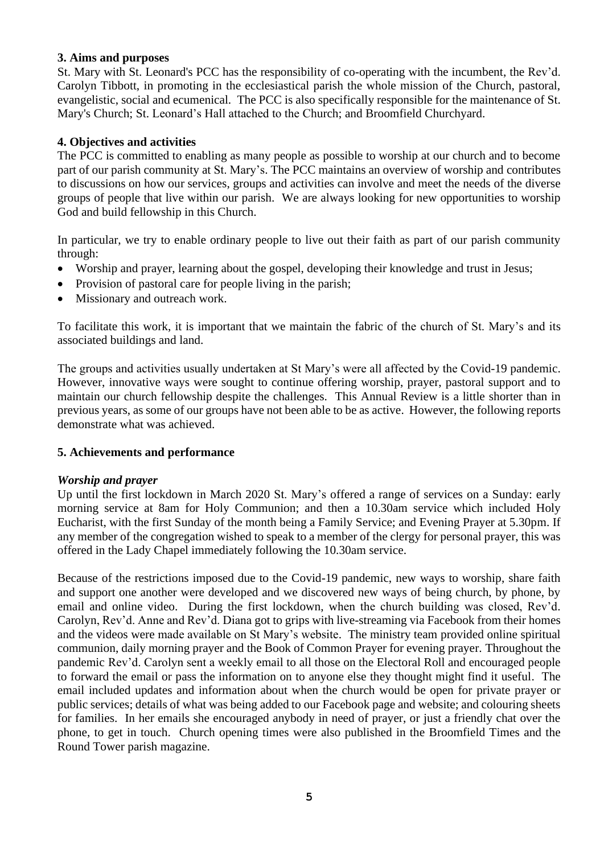#### **3. Aims and purposes**

St. Mary with St. Leonard's PCC has the responsibility of co-operating with the incumbent, the Rev'd. Carolyn Tibbott, in promoting in the ecclesiastical parish the whole mission of the Church, pastoral, evangelistic, social and ecumenical. The PCC is also specifically responsible for the maintenance of St. Mary's Church; St. Leonard's Hall attached to the Church; and Broomfield Churchyard.

### **4. Objectives and activities**

The PCC is committed to enabling as many people as possible to worship at our church and to become part of our parish community at St. Mary's. The PCC maintains an overview of worship and contributes to discussions on how our services, groups and activities can involve and meet the needs of the diverse groups of people that live within our parish. We are always looking for new opportunities to worship God and build fellowship in this Church.

In particular, we try to enable ordinary people to live out their faith as part of our parish community through:

- Worship and prayer, learning about the gospel, developing their knowledge and trust in Jesus;
- Provision of pastoral care for people living in the parish;
- Missionary and outreach work.

To facilitate this work, it is important that we maintain the fabric of the church of St. Mary's and its associated buildings and land.

The groups and activities usually undertaken at St Mary's were all affected by the Covid-19 pandemic. However, innovative ways were sought to continue offering worship, prayer, pastoral support and to maintain our church fellowship despite the challenges. This Annual Review is a little shorter than in previous years, as some of our groups have not been able to be as active. However, the following reports demonstrate what was achieved.

#### **5. Achievements and performance**

#### *Worship and prayer*

Up until the first lockdown in March 2020 St. Mary's offered a range of services on a Sunday: early morning service at 8am for Holy Communion; and then a 10.30am service which included Holy Eucharist, with the first Sunday of the month being a Family Service; and Evening Prayer at 5.30pm. If any member of the congregation wished to speak to a member of the clergy for personal prayer, this was offered in the Lady Chapel immediately following the 10.30am service.

Because of the restrictions imposed due to the Covid-19 pandemic, new ways to worship, share faith and support one another were developed and we discovered new ways of being church, by phone, by email and online video. During the first lockdown, when the church building was closed, Rev'd. Carolyn, Rev'd. Anne and Rev'd. Diana got to grips with live-streaming via Facebook from their homes and the videos were made available on St Mary's website. The ministry team provided online spiritual communion, daily morning prayer and the Book of Common Prayer for evening prayer. Throughout the pandemic Rev'd. Carolyn sent a weekly email to all those on the Electoral Roll and encouraged people to forward the email or pass the information on to anyone else they thought might find it useful. The email included updates and information about when the church would be open for private prayer or public services; details of what was being added to our Facebook page and website; and colouring sheets for families. In her emails she encouraged anybody in need of prayer, or just a friendly chat over the phone, to get in touch. Church opening times were also published in the Broomfield Times and the Round Tower parish magazine.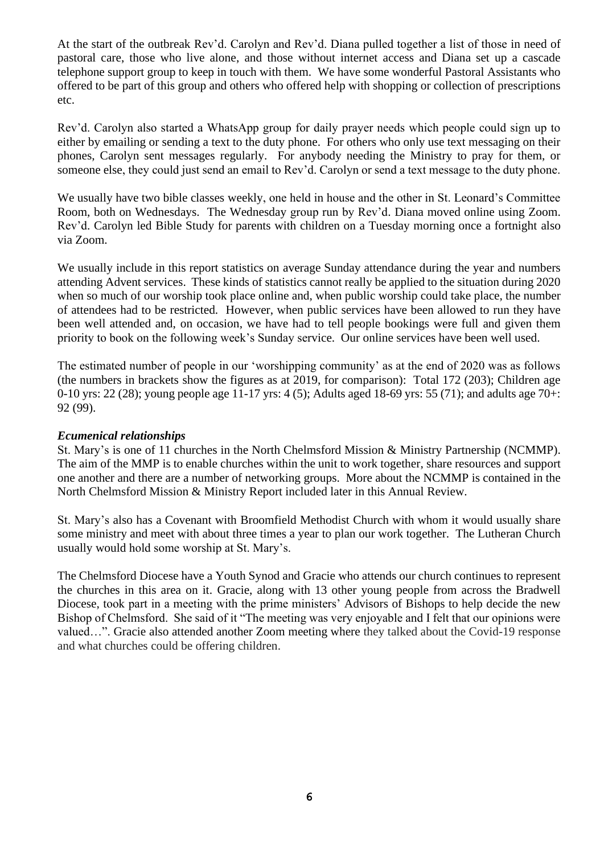At the start of the outbreak Rev'd. Carolyn and Rev'd. Diana pulled together a list of those in need of pastoral care, those who live alone, and those without internet access and Diana set up a cascade telephone support group to keep in touch with them. We have some wonderful Pastoral Assistants who offered to be part of this group and others who offered help with shopping or collection of prescriptions etc.

Rev'd. Carolyn also started a WhatsApp group for daily prayer needs which people could sign up to either by emailing or sending a text to the duty phone. For others who only use text messaging on their phones, Carolyn sent messages regularly. For anybody needing the Ministry to pray for them, or someone else, they could just send an email to Rev'd. Carolyn or send a text message to the duty phone.

We usually have two bible classes weekly, one held in house and the other in St. Leonard's Committee Room, both on Wednesdays. The Wednesday group run by Rev'd. Diana moved online using Zoom. Rev'd. Carolyn led Bible Study for parents with children on a Tuesday morning once a fortnight also via Zoom.

We usually include in this report statistics on average Sunday attendance during the year and numbers attending Advent services. These kinds of statistics cannot really be applied to the situation during 2020 when so much of our worship took place online and, when public worship could take place, the number of attendees had to be restricted. However, when public services have been allowed to run they have been well attended and, on occasion, we have had to tell people bookings were full and given them priority to book on the following week's Sunday service. Our online services have been well used.

The estimated number of people in our 'worshipping community' as at the end of 2020 was as follows (the numbers in brackets show the figures as at 2019, for comparison): Total 172 (203); Children age 0-10 yrs: 22 (28); young people age 11-17 yrs: 4 (5); Adults aged 18-69 yrs: 55 (71); and adults age 70+: 92 (99).

#### *Ecumenical relationships*

St. Mary's is one of 11 churches in the North Chelmsford Mission & Ministry Partnership (NCMMP). The aim of the MMP is to enable churches within the unit to work together, share resources and support one another and there are a number of networking groups. More about the NCMMP is contained in the North Chelmsford Mission & Ministry Report included later in this Annual Review.

St. Mary's also has a Covenant with Broomfield Methodist Church with whom it would usually share some ministry and meet with about three times a year to plan our work together. The Lutheran Church usually would hold some worship at St. Mary's.

The Chelmsford Diocese have a Youth Synod and Gracie who attends our church continues to represent the churches in this area on it. Gracie, along with 13 other young people from across the Bradwell Diocese, took part in a meeting with the prime ministers' Advisors of Bishops to help decide the new Bishop of Chelmsford. She said of it "The meeting was very enjoyable and I felt that our opinions were valued…". Gracie also attended another Zoom meeting where they talked about the Covid-19 response and what churches could be offering children.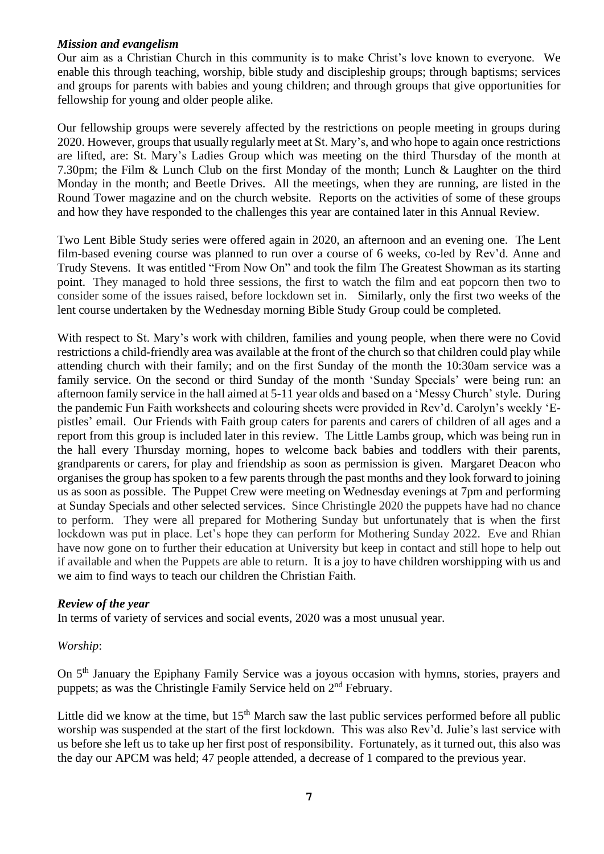#### *Mission and evangelism*

Our aim as a Christian Church in this community is to make Christ's love known to everyone. We enable this through teaching, worship, bible study and discipleship groups; through baptisms; services and groups for parents with babies and young children; and through groups that give opportunities for fellowship for young and older people alike.

Our fellowship groups were severely affected by the restrictions on people meeting in groups during 2020. However, groups that usually regularly meet at St. Mary's, and who hope to again once restrictions are lifted, are: St. Mary's Ladies Group which was meeting on the third Thursday of the month at 7.30pm; the Film & Lunch Club on the first Monday of the month; Lunch & Laughter on the third Monday in the month; and Beetle Drives. All the meetings, when they are running, are listed in the Round Tower magazine and on the church website. Reports on the activities of some of these groups and how they have responded to the challenges this year are contained later in this Annual Review.

Two Lent Bible Study series were offered again in 2020, an afternoon and an evening one. The Lent film-based evening course was planned to run over a course of 6 weeks, co-led by Rev'd. Anne and Trudy Stevens. It was entitled "From Now On" and took the film The Greatest Showman as its starting point. They managed to hold three sessions, the first to watch the film and eat popcorn then two to consider some of the issues raised, before lockdown set in. Similarly, only the first two weeks of the lent course undertaken by the Wednesday morning Bible Study Group could be completed.

With respect to St. Mary's work with children, families and young people, when there were no Covid restrictions a child-friendly area was available at the front of the church so that children could play while attending church with their family; and on the first Sunday of the month the 10:30am service was a family service. On the second or third Sunday of the month 'Sunday Specials' were being run: an afternoon family service in the hall aimed at 5-11 year olds and based on a 'Messy Church' style. During the pandemic Fun Faith worksheets and colouring sheets were provided in Rev'd. Carolyn's weekly 'Epistles' email. Our Friends with Faith group caters for parents and carers of children of all ages and a report from this group is included later in this review. The Little Lambs group, which was being run in the hall every Thursday morning, hopes to welcome back babies and toddlers with their parents, grandparents or carers, for play and friendship as soon as permission is given. Margaret Deacon who organises the group has spoken to a few parents through the past months and they look forward to joining us as soon as possible. The Puppet Crew were meeting on Wednesday evenings at 7pm and performing at Sunday Specials and other selected services. Since Christingle 2020 the puppets have had no chance to perform. They were all prepared for Mothering Sunday but unfortunately that is when the first lockdown was put in place. Let's hope they can perform for Mothering Sunday 2022. Eve and Rhian have now gone on to further their education at University but keep in contact and still hope to help out if available and when the Puppets are able to return. It is a joy to have children worshipping with us and we aim to find ways to teach our children the Christian Faith.

### *Review of the year*

In terms of variety of services and social events, 2020 was a most unusual year.

### *Worship*:

On 5<sup>th</sup> January the Epiphany Family Service was a joyous occasion with hymns, stories, prayers and puppets; as was the Christingle Family Service held on  $2<sup>nd</sup>$  February.

Little did we know at the time, but  $15<sup>th</sup>$  March saw the last public services performed before all public worship was suspended at the start of the first lockdown. This was also Rev'd. Julie's last service with us before she left us to take up her first post of responsibility. Fortunately, as it turned out, this also was the day our APCM was held; 47 people attended, a decrease of 1 compared to the previous year.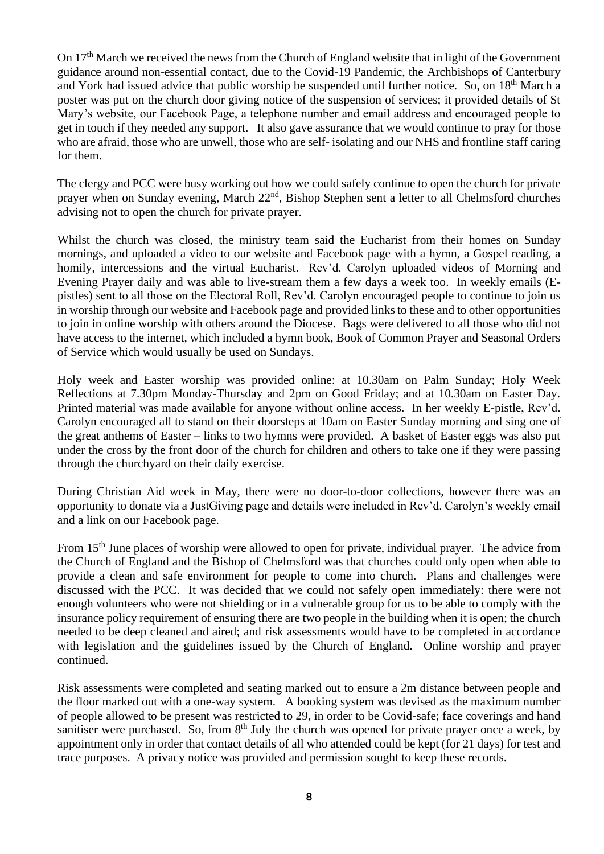On 17<sup>th</sup> March we received the news from the Church of England website that in light of the Government guidance around non-essential contact, due to the Covid-19 Pandemic, the Archbishops of Canterbury and York had issued advice that public worship be suspended until further notice. So, on 18<sup>th</sup> March a poster was put on the church door giving notice of the suspension of services; it provided details of St Mary's website, our Facebook Page, a telephone number and email address and encouraged people to get in touch if they needed any support. It also gave assurance that we would continue to pray for those who are afraid, those who are unwell, those who are self- isolating and our NHS and frontline staff caring for them.

The clergy and PCC were busy working out how we could safely continue to open the church for private prayer when on Sunday evening, March 22nd, Bishop Stephen sent a letter to all Chelmsford churches advising not to open the church for private prayer.

Whilst the church was closed, the ministry team said the Eucharist from their homes on Sunday mornings, and uploaded a video to our website and Facebook page with a hymn, a Gospel reading, a homily, intercessions and the virtual Eucharist. Rev'd. Carolyn uploaded videos of Morning and Evening Prayer daily and was able to live-stream them a few days a week too. In weekly emails (Epistles) sent to all those on the Electoral Roll, Rev'd. Carolyn encouraged people to continue to join us in worship through our website and Facebook page and provided links to these and to other opportunities to join in online worship with others around the Diocese. Bags were delivered to all those who did not have access to the internet, which included a hymn book, Book of Common Prayer and Seasonal Orders of Service which would usually be used on Sundays.

Holy week and Easter worship was provided online: at 10.30am on Palm Sunday; Holy Week Reflections at 7.30pm Monday-Thursday and 2pm on Good Friday; and at 10.30am on Easter Day. Printed material was made available for anyone without online access. In her weekly E-pistle, Rev'd. Carolyn encouraged all to stand on their doorsteps at 10am on Easter Sunday morning and sing one of the great anthems of Easter – links to two hymns were provided. A basket of Easter eggs was also put under the cross by the front door of the church for children and others to take one if they were passing through the churchyard on their daily exercise.

During Christian Aid week in May, there were no door-to-door collections, however there was an opportunity to donate via a JustGiving page and details were included in Rev'd. Carolyn's weekly email and a link on our Facebook page.

From 15<sup>th</sup> June places of worship were allowed to open for private, individual prayer. The advice from the Church of England and the Bishop of Chelmsford was that churches could only open when able to provide a clean and safe environment for people to come into church. Plans and challenges were discussed with the PCC. It was decided that we could not safely open immediately: there were not enough volunteers who were not shielding or in a vulnerable group for us to be able to comply with the insurance policy requirement of ensuring there are two people in the building when it is open; the church needed to be deep cleaned and aired; and risk assessments would have to be completed in accordance with legislation and the guidelines issued by the Church of England. Online worship and prayer continued.

Risk assessments were completed and seating marked out to ensure a 2m distance between people and the floor marked out with a one-way system. A booking system was devised as the maximum number of people allowed to be present was restricted to 29, in order to be Covid-safe; face coverings and hand sanitiser were purchased. So, from 8<sup>th</sup> July the church was opened for private prayer once a week, by appointment only in order that contact details of all who attended could be kept (for 21 days) for test and trace purposes. A privacy notice was provided and permission sought to keep these records.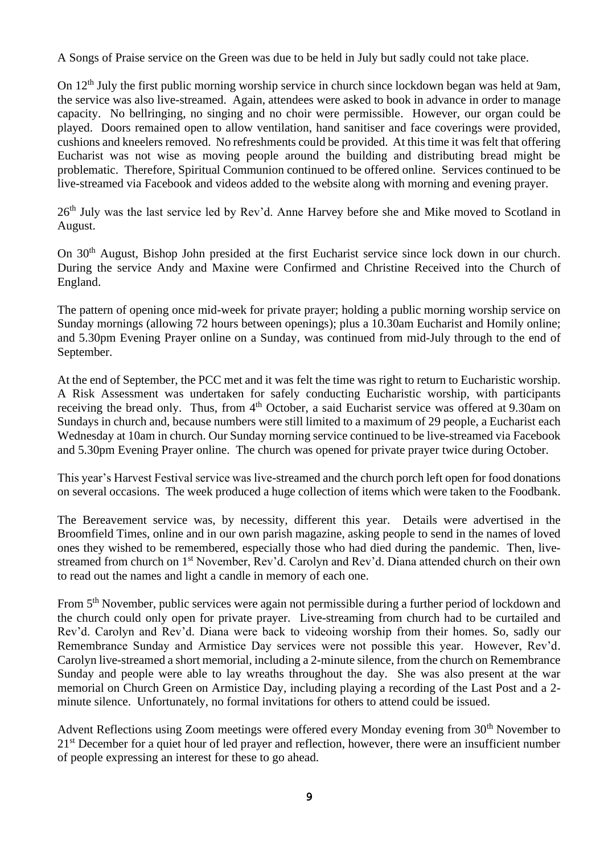A Songs of Praise service on the Green was due to be held in July but sadly could not take place.

On 12<sup>th</sup> July the first public morning worship service in church since lockdown began was held at 9am, the service was also live-streamed. Again, attendees were asked to book in advance in order to manage capacity. No bellringing, no singing and no choir were permissible. However, our organ could be played. Doors remained open to allow ventilation, hand sanitiser and face coverings were provided, cushions and kneelers removed. No refreshments could be provided. At this time it was felt that offering Eucharist was not wise as moving people around the building and distributing bread might be problematic. Therefore, Spiritual Communion continued to be offered online. Services continued to be live-streamed via Facebook and videos added to the website along with morning and evening prayer.

26<sup>th</sup> July was the last service led by Rev'd. Anne Harvey before she and Mike moved to Scotland in August.

On 30<sup>th</sup> August, Bishop John presided at the first Eucharist service since lock down in our church. During the service Andy and Maxine were Confirmed and Christine Received into the Church of England.

The pattern of opening once mid-week for private prayer; holding a public morning worship service on Sunday mornings (allowing 72 hours between openings); plus a 10.30am Eucharist and Homily online; and 5.30pm Evening Prayer online on a Sunday, was continued from mid-July through to the end of September.

At the end of September, the PCC met and it was felt the time was right to return to Eucharistic worship. A Risk Assessment was undertaken for safely conducting Eucharistic worship, with participants receiving the bread only. Thus, from 4<sup>th</sup> October, a said Eucharist service was offered at 9.30am on Sundays in church and, because numbers were still limited to a maximum of 29 people, a Eucharist each Wednesday at 10am in church. Our Sunday morning service continued to be live-streamed via Facebook and 5.30pm Evening Prayer online. The church was opened for private prayer twice during October.

This year's Harvest Festival service was live-streamed and the church porch left open for food donations on several occasions. The week produced a huge collection of items which were taken to the Foodbank.

The Bereavement service was, by necessity, different this year. Details were advertised in the Broomfield Times, online and in our own parish magazine, asking people to send in the names of loved ones they wished to be remembered, especially those who had died during the pandemic. Then, livestreamed from church on 1st November, Rev'd. Carolyn and Rev'd. Diana attended church on their own to read out the names and light a candle in memory of each one.

From 5<sup>th</sup> November, public services were again not permissible during a further period of lockdown and the church could only open for private prayer. Live-streaming from church had to be curtailed and Rev'd. Carolyn and Rev'd. Diana were back to videoing worship from their homes. So, sadly our Remembrance Sunday and Armistice Day services were not possible this year. However, Rev'd. Carolyn live-streamed a short memorial, including a 2-minute silence, from the church on Remembrance Sunday and people were able to lay wreaths throughout the day. She was also present at the war memorial on Church Green on Armistice Day, including playing a recording of the Last Post and a 2 minute silence. Unfortunately, no formal invitations for others to attend could be issued.

Advent Reflections using Zoom meetings were offered every Monday evening from 30<sup>th</sup> November to 21<sup>st</sup> December for a quiet hour of led prayer and reflection, however, there were an insufficient number of people expressing an interest for these to go ahead.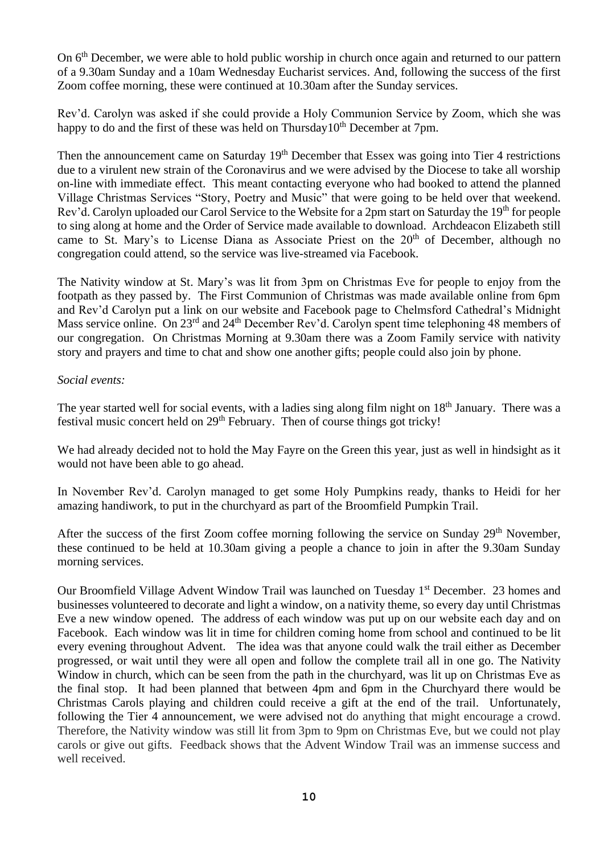On 6<sup>th</sup> December, we were able to hold public worship in church once again and returned to our pattern of a 9.30am Sunday and a 10am Wednesday Eucharist services. And, following the success of the first Zoom coffee morning, these were continued at 10.30am after the Sunday services.

Rev'd. Carolyn was asked if she could provide a Holy Communion Service by Zoom, which she was happy to do and the first of these was held on Thursday10<sup>th</sup> December at 7pm.

Then the announcement came on Saturday 19<sup>th</sup> December that Essex was going into Tier 4 restrictions due to a virulent new strain of the Coronavirus and we were advised by the Diocese to take all worship on-line with immediate effect. This meant contacting everyone who had booked to attend the planned Village Christmas Services "Story, Poetry and Music" that were going to be held over that weekend. Rev'd. Carolyn uploaded our Carol Service to the Website for a 2pm start on Saturday the 19<sup>th</sup> for people to sing along at home and the Order of Service made available to download.Archdeacon Elizabeth still came to St. Mary's to License Diana as Associate Priest on the 20<sup>th</sup> of December, although no congregation could attend, so the service was live-streamed via Facebook.

The Nativity window at St. Mary's was lit from 3pm on Christmas Eve for people to enjoy from the footpath as they passed by. The First Communion of Christmas was made available online from 6pm and Rev'd Carolyn put a link on our website and Facebook page to Chelmsford Cathedral's Midnight Mass service online. On 23<sup>rd</sup> and 24<sup>th</sup> December Rev'd. Carolyn spent time telephoning 48 members of our congregation. On Christmas Morning at 9.30am there was a Zoom Family service with nativity story and prayers and time to chat and show one another gifts; people could also join by phone.

#### *Social events:*

The year started well for social events, with a ladies sing along film night on 18<sup>th</sup> January. There was a festival music concert held on 29th February. Then of course things got tricky!

We had already decided not to hold the May Fayre on the Green this year, just as well in hindsight as it would not have been able to go ahead.

In November Rev'd. Carolyn managed to get some Holy Pumpkins ready, thanks to Heidi for her amazing handiwork, to put in the churchyard as part of the Broomfield Pumpkin Trail.

After the success of the first Zoom coffee morning following the service on Sunday 29<sup>th</sup> November, these continued to be held at 10.30am giving a people a chance to join in after the 9.30am Sunday morning services.

Our Broomfield Village Advent Window Trail was launched on Tuesday 1<sup>st</sup> December. 23 homes and businesses volunteered to decorate and light a window, on a nativity theme, so every day until Christmas Eve a new window opened. The address of each window was put up on our website each day and on Facebook. Each window was lit in time for children coming home from school and continued to be lit every evening throughout Advent. The idea was that anyone could walk the trail either as December progressed, or wait until they were all open and follow the complete trail all in one go. The Nativity Window in church, which can be seen from the path in the churchyard, was lit up on Christmas Eve as the final stop. It had been planned that between 4pm and 6pm in the Churchyard there would be Christmas Carols playing and children could receive a gift at the end of the trail. Unfortunately, following the Tier 4 announcement, we were advised not do anything that might encourage a crowd. Therefore, the Nativity window was still lit from 3pm to 9pm on Christmas Eve, but we could not play carols or give out gifts. Feedback shows that the Advent Window Trail was an immense success and well received.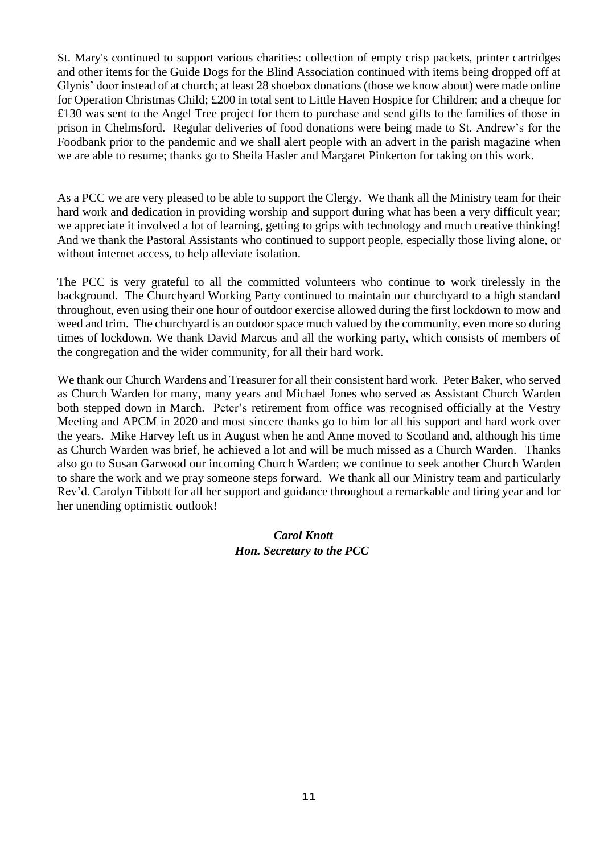St. Mary's continued to support various charities: collection of empty crisp packets, printer cartridges and other items for the Guide Dogs for the Blind Association continued with items being dropped off at Glynis' door instead of at church; at least 28 shoebox donations (those we know about) were made online for Operation Christmas Child; £200 in total sent to Little Haven Hospice for Children; and a cheque for £130 was sent to the Angel Tree project for them to purchase and send gifts to the families of those in prison in Chelmsford. Regular deliveries of food donations were being made to St. Andrew's for the Foodbank prior to the pandemic and we shall alert people with an advert in the parish magazine when we are able to resume; thanks go to Sheila Hasler and Margaret Pinkerton for taking on this work.

As a PCC we are very pleased to be able to support the Clergy. We thank all the Ministry team for their hard work and dedication in providing worship and support during what has been a very difficult year; we appreciate it involved a lot of learning, getting to grips with technology and much creative thinking! And we thank the Pastoral Assistants who continued to support people, especially those living alone, or without internet access, to help alleviate isolation.

The PCC is very grateful to all the committed volunteers who continue to work tirelessly in the background. The Churchyard Working Party continued to maintain our churchyard to a high standard throughout, even using their one hour of outdoor exercise allowed during the first lockdown to mow and weed and trim. The churchyard is an outdoor space much valued by the community, even more so during times of lockdown. We thank David Marcus and all the working party, which consists of members of the congregation and the wider community, for all their hard work.

We thank our Church Wardens and Treasurer for all their consistent hard work. Peter Baker, who served as Church Warden for many, many years and Michael Jones who served as Assistant Church Warden both stepped down in March. Peter's retirement from office was recognised officially at the Vestry Meeting and APCM in 2020 and most sincere thanks go to him for all his support and hard work over the years. Mike Harvey left us in August when he and Anne moved to Scotland and, although his time as Church Warden was brief, he achieved a lot and will be much missed as a Church Warden. Thanks also go to Susan Garwood our incoming Church Warden; we continue to seek another Church Warden to share the work and we pray someone steps forward. We thank all our Ministry team and particularly Rev'd. Carolyn Tibbott for all her support and guidance throughout a remarkable and tiring year and for her unending optimistic outlook!

### *Carol Knott Hon. Secretary to the PCC*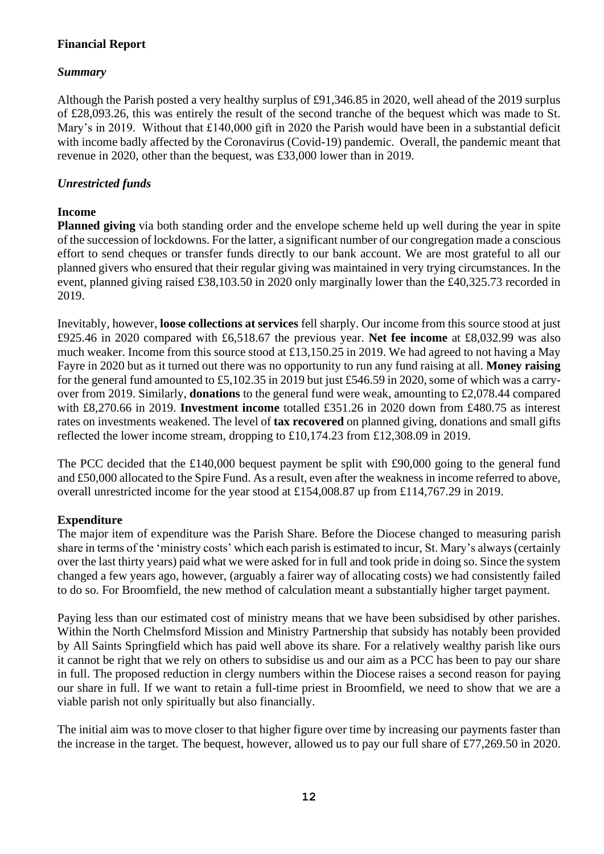### **Financial Report**

### *Summary*

Although the Parish posted a very healthy surplus of £91,346.85 in 2020, well ahead of the 2019 surplus of £28,093.26, this was entirely the result of the second tranche of the bequest which was made to St. Mary's in 2019. Without that £140,000 gift in 2020 the Parish would have been in a substantial deficit with income badly affected by the Coronavirus (Covid-19) pandemic. Overall, the pandemic meant that revenue in 2020, other than the bequest, was £33,000 lower than in 2019.

### *Unrestricted funds*

### **Income**

**Planned giving** via both standing order and the envelope scheme held up well during the year in spite of the succession of lockdowns. For the latter, a significant number of our congregation made a conscious effort to send cheques or transfer funds directly to our bank account. We are most grateful to all our planned givers who ensured that their regular giving was maintained in very trying circumstances. In the event, planned giving raised £38,103.50 in 2020 only marginally lower than the £40,325.73 recorded in 2019.

Inevitably, however, **loose collections at services** fell sharply. Our income from this source stood at just £925.46 in 2020 compared with £6,518.67 the previous year. **Net fee income** at £8,032.99 was also much weaker. Income from this source stood at £13,150.25 in 2019. We had agreed to not having a May Fayre in 2020 but as it turned out there was no opportunity to run any fund raising at all. **Money raising** for the general fund amounted to £5,102.35 in 2019 but just £546.59 in 2020, some of which was a carryover from 2019. Similarly, **donations** to the general fund were weak, amounting to £2,078.44 compared with £8,270.66 in 2019. **Investment income** totalled £351.26 in 2020 down from £480.75 as interest rates on investments weakened. The level of **tax recovered** on planned giving, donations and small gifts reflected the lower income stream, dropping to £10,174.23 from £12,308.09 in 2019.

The PCC decided that the £140,000 bequest payment be split with £90,000 going to the general fund and £50,000 allocated to the Spire Fund. As a result, even after the weakness in income referred to above, overall unrestricted income for the year stood at £154,008.87 up from £114,767.29 in 2019.

### **Expenditure**

The major item of expenditure was the Parish Share. Before the Diocese changed to measuring parish share in terms of the 'ministry costs' which each parish is estimated to incur, St. Mary's always (certainly over the last thirty years) paid what we were asked for in full and took pride in doing so. Since the system changed a few years ago, however, (arguably a fairer way of allocating costs) we had consistently failed to do so. For Broomfield, the new method of calculation meant a substantially higher target payment.

Paying less than our estimated cost of ministry means that we have been subsidised by other parishes. Within the North Chelmsford Mission and Ministry Partnership that subsidy has notably been provided by All Saints Springfield which has paid well above its share. For a relatively wealthy parish like ours it cannot be right that we rely on others to subsidise us and our aim as a PCC has been to pay our share in full. The proposed reduction in clergy numbers within the Diocese raises a second reason for paying our share in full. If we want to retain a full-time priest in Broomfield, we need to show that we are a viable parish not only spiritually but also financially.

The initial aim was to move closer to that higher figure over time by increasing our payments faster than the increase in the target. The bequest, however, allowed us to pay our full share of £77,269.50 in 2020.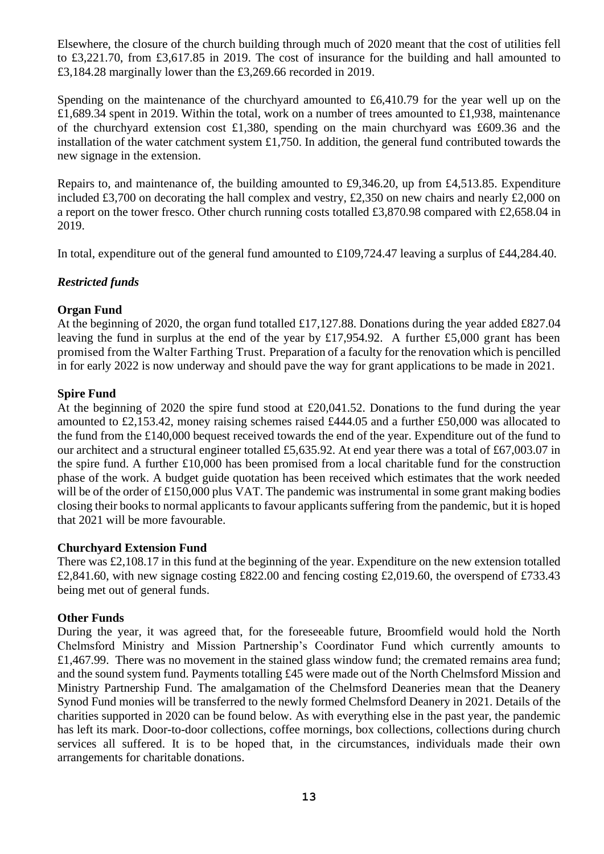Elsewhere, the closure of the church building through much of 2020 meant that the cost of utilities fell to £3,221.70, from £3,617.85 in 2019. The cost of insurance for the building and hall amounted to £3,184.28 marginally lower than the £3,269.66 recorded in 2019.

Spending on the maintenance of the churchyard amounted to £6,410.79 for the year well up on the £1,689.34 spent in 2019. Within the total, work on a number of trees amounted to £1,938, maintenance of the churchyard extension cost £1,380, spending on the main churchyard was £609.36 and the installation of the water catchment system £1,750. In addition, the general fund contributed towards the new signage in the extension.

Repairs to, and maintenance of, the building amounted to £9,346.20, up from £4,513.85. Expenditure included £3,700 on decorating the hall complex and vestry, £2,350 on new chairs and nearly £2,000 on a report on the tower fresco. Other church running costs totalled £3,870.98 compared with £2,658.04 in 2019.

In total, expenditure out of the general fund amounted to £109,724.47 leaving a surplus of £44,284.40.

### *Restricted funds*

#### **Organ Fund**

At the beginning of 2020, the organ fund totalled £17,127.88. Donations during the year added £827.04 leaving the fund in surplus at the end of the year by £17,954.92. A further £5,000 grant has been promised from the Walter Farthing Trust. Preparation of a faculty for the renovation which is pencilled in for early 2022 is now underway and should pave the way for grant applications to be made in 2021.

#### **Spire Fund**

At the beginning of 2020 the spire fund stood at £20,041.52. Donations to the fund during the year amounted to £2,153.42, money raising schemes raised £444.05 and a further £50,000 was allocated to the fund from the £140,000 bequest received towards the end of the year. Expenditure out of the fund to our architect and a structural engineer totalled £5,635.92. At end year there was a total of £67,003.07 in the spire fund. A further £10,000 has been promised from a local charitable fund for the construction phase of the work. A budget guide quotation has been received which estimates that the work needed will be of the order of £150,000 plus VAT. The pandemic was instrumental in some grant making bodies closing their books to normal applicants to favour applicants suffering from the pandemic, but it is hoped that 2021 will be more favourable.

#### **Churchyard Extension Fund**

There was £2,108.17 in this fund at the beginning of the year. Expenditure on the new extension totalled £2,841.60, with new signage costing £822.00 and fencing costing £2,019.60, the overspend of £733.43 being met out of general funds.

#### **Other Funds**

During the year, it was agreed that, for the foreseeable future, Broomfield would hold the North Chelmsford Ministry and Mission Partnership's Coordinator Fund which currently amounts to £1,467.99. There was no movement in the stained glass window fund; the cremated remains area fund; and the sound system fund. Payments totalling £45 were made out of the North Chelmsford Mission and Ministry Partnership Fund. The amalgamation of the Chelmsford Deaneries mean that the Deanery Synod Fund monies will be transferred to the newly formed Chelmsford Deanery in 2021. Details of the charities supported in 2020 can be found below. As with everything else in the past year, the pandemic has left its mark. Door-to-door collections, coffee mornings, box collections, collections during church services all suffered. It is to be hoped that, in the circumstances, individuals made their own arrangements for charitable donations.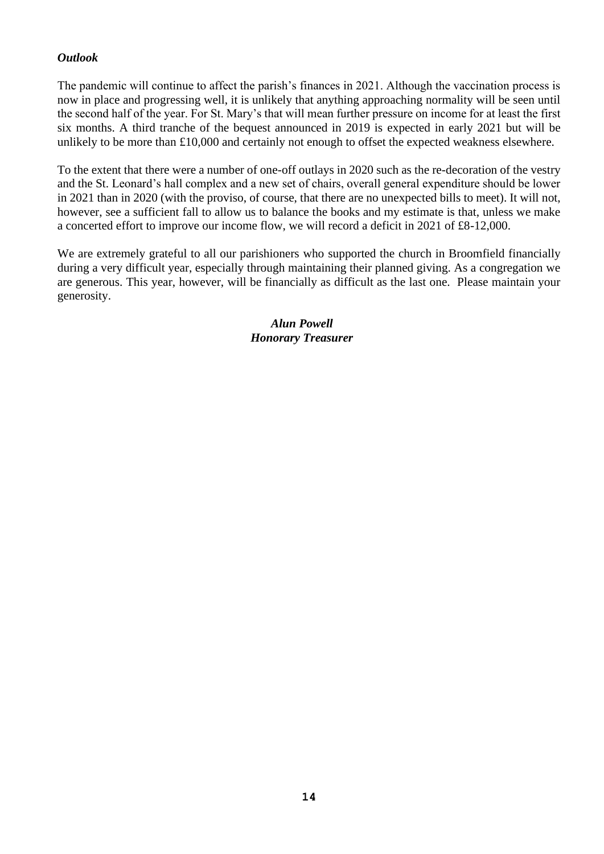### *Outlook*

The pandemic will continue to affect the parish's finances in 2021. Although the vaccination process is now in place and progressing well, it is unlikely that anything approaching normality will be seen until the second half of the year. For St. Mary's that will mean further pressure on income for at least the first six months. A third tranche of the bequest announced in 2019 is expected in early 2021 but will be unlikely to be more than £10,000 and certainly not enough to offset the expected weakness elsewhere.

To the extent that there were a number of one-off outlays in 2020 such as the re-decoration of the vestry and the St. Leonard's hall complex and a new set of chairs, overall general expenditure should be lower in 2021 than in 2020 (with the proviso, of course, that there are no unexpected bills to meet). It will not, however, see a sufficient fall to allow us to balance the books and my estimate is that, unless we make a concerted effort to improve our income flow, we will record a deficit in 2021 of £8-12,000.

We are extremely grateful to all our parishioners who supported the church in Broomfield financially during a very difficult year, especially through maintaining their planned giving. As a congregation we are generous. This year, however, will be financially as difficult as the last one. Please maintain your generosity.

> *Alun Powell Honorary Treasurer*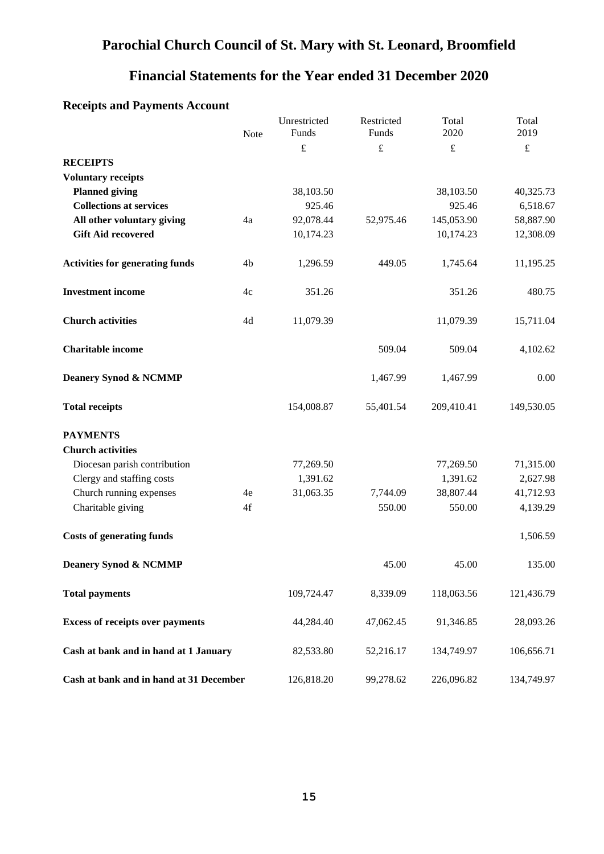### **Parochial Church Council of St. Mary with St. Leonard, Broomfield**

### **Financial Statements for the Year ended 31 December 2020**

### Unrestricted Funds Restricted Funds Total 2020 Total Note Funds Funds 2020 2019  $f$   $f$   $f$ **RECEIPTS Voluntary receipts Planned giving 38,103.50** 38,103.50 38,103.50 40,325.73 **Collections at services** 925.46 925.46 925.46 925.46 6,518.67 **All other voluntary giving**  $4a$   $92,078.44$   $52,975.46$   $145,053.90$   $58,887.90$ **Gift Aid recovered** 10,174.23 12,308.09 **Activities for generating funds** 4b 1,296.59 449.05 1,745.64 11,195.25 **Investment income** 4c 351.26 351.26 480.75 **Church activities** 4d 11,079.39 11,079.39 15,711.04 **Charitable income** 509.04 509.04 4,102.62 **Deanery Synod & NCMMP** 1,467.99 1,467.99 0.00 **Total receipts** 154,008.87 55,401.54 209,410.41 149,530.05 **PAYMENTS Church activities** Diocesan parish contribution 77,269.50 77,269.50 71,315.00 Clergy and staffing costs 1,391.62 1,391.62 2,627.98 Church running expenses 4e 31,063.35 7,744.09 38,807.44 41,712.93 Charitable giving 4f 550.00 550.00 4,139.29 **Costs of generating funds** 1,506.59 **Deanery Synod & NCMMP** 45.00 45.00 45.00 135.00 **Total payments** 109,724.47 8,339.09 118,063.56 121,436.79 **Excess of receipts over payments** 44,284.40 47,062.45 91,346.85 28,093.26 **Cash at bank and in hand at 1 January** 82,533.80 52,216.17 134,749.97 106,656.71 **Cash at bank and in hand at 31 December** 126,818.20 99,278.62 226,096.82 134,749.97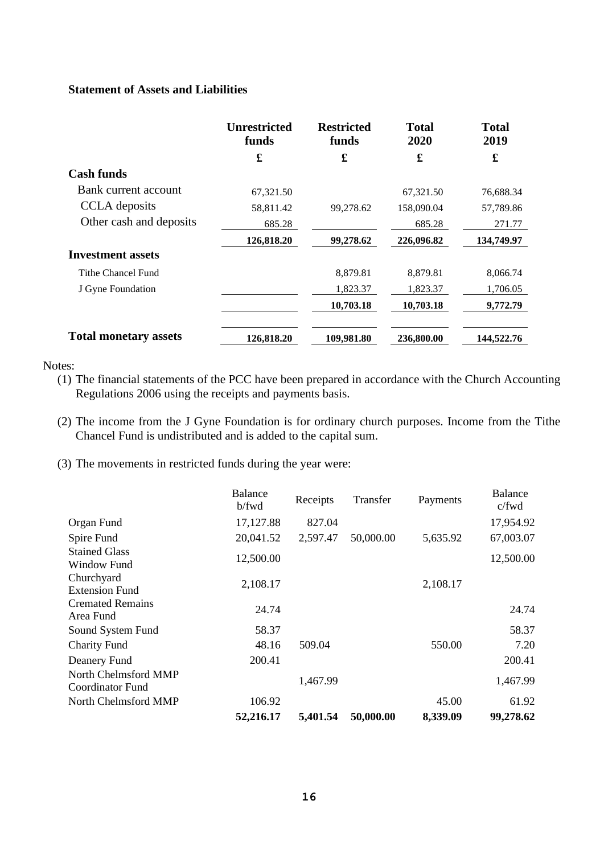#### **Statement of Assets and Liabilities**

|                              | <b>Unrestricted</b><br>funds | <b>Restricted</b><br>funds | <b>Total</b><br>2020 | <b>Total</b><br>2019 |
|------------------------------|------------------------------|----------------------------|----------------------|----------------------|
|                              | £                            | £                          | £                    | £                    |
| <b>Cash funds</b>            |                              |                            |                      |                      |
| Bank current account         | 67,321.50                    |                            | 67,321.50            | 76,688.34            |
| CCLA deposits                | 58,811.42                    | 99,278.62                  | 158,090.04           | 57,789.86            |
| Other cash and deposits      | 685.28                       |                            | 685.28               | 271.77               |
|                              | 126,818.20                   | 99,278.62                  | 226,096.82           | 134,749.97           |
| <b>Investment assets</b>     |                              |                            |                      |                      |
| Tithe Chancel Fund           |                              | 8,879.81                   | 8,879.81             | 8,066.74             |
| J Gyne Foundation            |                              | 1,823.37                   | 1,823.37             | 1,706.05             |
|                              |                              | 10,703.18                  | 10,703.18            | 9,772.79             |
| <b>Total monetary assets</b> | 126,818.20                   | 109.981.80                 | 236,800.00           | 144,522.76           |

Notes:

- (1) The financial statements of the PCC have been prepared in accordance with the Church Accounting Regulations 2006 using the receipts and payments basis.
- (2) The income from the J Gyne Foundation is for ordinary church purposes. Income from the Tithe Chancel Fund is undistributed and is added to the capital sum.
- (3) The movements in restricted funds during the year were:

|                                          | <b>Balance</b><br>b/fwd | Receipts | Transfer  | Payments | <b>Balance</b><br>c/fwd |
|------------------------------------------|-------------------------|----------|-----------|----------|-------------------------|
| Organ Fund                               | 17,127.88               | 827.04   |           |          | 17,954.92               |
| Spire Fund                               | 20,041.52               | 2,597.47 | 50,000.00 | 5,635.92 | 67,003.07               |
| <b>Stained Glass</b><br>Window Fund      | 12,500.00               |          |           |          | 12,500.00               |
| Churchyard<br><b>Extension Fund</b>      | 2,108.17                |          |           | 2,108.17 |                         |
| <b>Cremated Remains</b><br>Area Fund     | 24.74                   |          |           |          | 24.74                   |
| Sound System Fund                        | 58.37                   |          |           |          | 58.37                   |
| <b>Charity Fund</b>                      | 48.16                   | 509.04   |           | 550.00   | 7.20                    |
| Deanery Fund                             | 200.41                  |          |           |          | 200.41                  |
| North Chelmsford MMP<br>Coordinator Fund |                         | 1,467.99 |           |          | 1,467.99                |
| North Chelmsford MMP                     | 106.92                  |          |           | 45.00    | 61.92                   |
|                                          | 52,216.17               | 5,401.54 | 50,000.00 | 8,339.09 | 99,278.62               |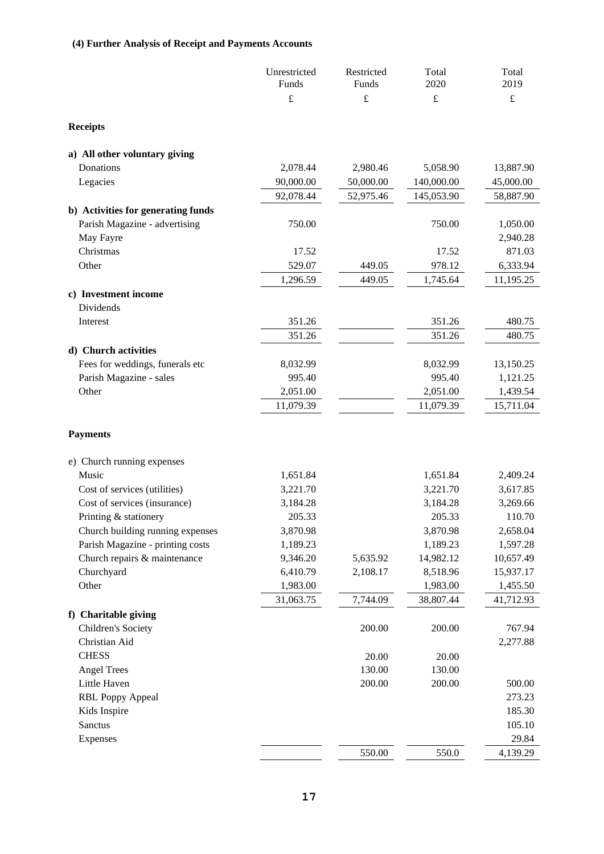### **(4) Further Analysis of Receipt and Payments Accounts**

|                                                            | Unrestricted<br>Funds | Restricted<br>Funds | Total<br>2020      | Total<br>2019        |
|------------------------------------------------------------|-----------------------|---------------------|--------------------|----------------------|
|                                                            | $\pounds$             | $\pounds$           | $\pounds$          | $\pounds$            |
| <b>Receipts</b>                                            |                       |                     |                    |                      |
| a) All other voluntary giving                              |                       |                     |                    |                      |
| Donations                                                  | 2,078.44              | 2,980.46            | 5,058.90           | 13,887.90            |
| Legacies                                                   | 90,000.00             | 50,000.00           | 140,000.00         | 45,000.00            |
|                                                            | 92,078.44             | 52,975.46           | 145,053.90         | 58,887.90            |
| b) Activities for generating funds                         |                       |                     |                    |                      |
| Parish Magazine - advertising                              | 750.00                |                     | 750.00             | 1,050.00             |
| May Fayre                                                  |                       |                     |                    | 2,940.28             |
| Christmas                                                  | 17.52                 |                     | 17.52              | 871.03               |
| Other                                                      | 529.07                | 449.05              | 978.12             | 6,333.94             |
|                                                            | 1,296.59              | 449.05              | 1,745.64           | 11,195.25            |
| c) Investment income                                       |                       |                     |                    |                      |
| Dividends                                                  |                       |                     |                    |                      |
| Interest                                                   | 351.26                |                     | 351.26             | 480.75               |
|                                                            | 351.26                |                     | 351.26             | 480.75               |
| d) Church activities                                       |                       |                     |                    |                      |
| Fees for weddings, funerals etc<br>Parish Magazine - sales | 8,032.99<br>995.40    |                     | 8,032.99<br>995.40 | 13,150.25            |
| Other                                                      | 2,051.00              |                     | 2,051.00           | 1,121.25<br>1,439.54 |
|                                                            | 11,079.39             |                     | 11,079.39          | 15,711.04            |
|                                                            |                       |                     |                    |                      |
| <b>Payments</b>                                            |                       |                     |                    |                      |
| e) Church running expenses                                 |                       |                     |                    |                      |
| Music                                                      | 1,651.84              |                     | 1,651.84           | 2,409.24             |
| Cost of services (utilities)                               | 3,221.70              |                     | 3,221.70           | 3,617.85             |
| Cost of services (insurance)                               | 3,184.28              |                     | 3,184.28           | 3,269.66             |
| Printing & stationery                                      | 205.33                |                     | 205.33             | 110.70               |
| Church building running expenses                           | 3,870.98              |                     | 3,870.98           | 2,658.04             |
| Parish Magazine - printing costs                           | 1,189.23              |                     | 1,189.23           | 1,597.28             |
| Church repairs & maintenance                               | 9,346.20              | 5,635.92            | 14,982.12          | 10,657.49            |
| Churchyard                                                 | 6,410.79              | 2,108.17            | 8,518.96           | 15,937.17            |
| Other                                                      | 1,983.00              |                     | 1,983.00           | 1,455.50             |
|                                                            | 31,063.75             | 7,744.09            | 38,807.44          | 41,712.93            |
| f) Charitable giving                                       |                       |                     |                    |                      |
| Children's Society                                         |                       | 200.00              | 200.00             | 767.94               |
| Christian Aid                                              |                       |                     |                    | 2,277.88             |
| <b>CHESS</b>                                               |                       | 20.00               | 20.00              |                      |
| <b>Angel Trees</b>                                         |                       | 130.00              | 130.00             |                      |
| Little Haven                                               |                       | 200.00              | 200.00             | 500.00               |
| <b>RBL Poppy Appeal</b>                                    |                       |                     |                    | 273.23<br>185.30     |
| Kids Inspire<br>Sanctus                                    |                       |                     |                    | 105.10               |
| Expenses                                                   |                       |                     |                    | 29.84                |
|                                                            |                       | 550.00              | 550.0              | 4,139.29             |
|                                                            |                       |                     |                    |                      |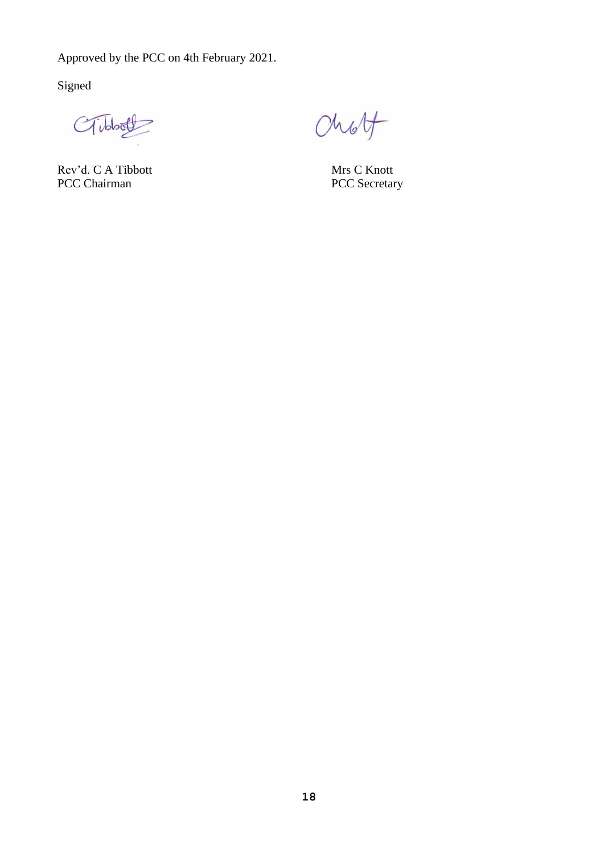Approved by the PCC on 4th February 2021.

Signed

CTibbott

Rev'd. C A Tibbott Mrs C Knott<br>
PCC Chairman PCC Secretary PCC Chairman

Chott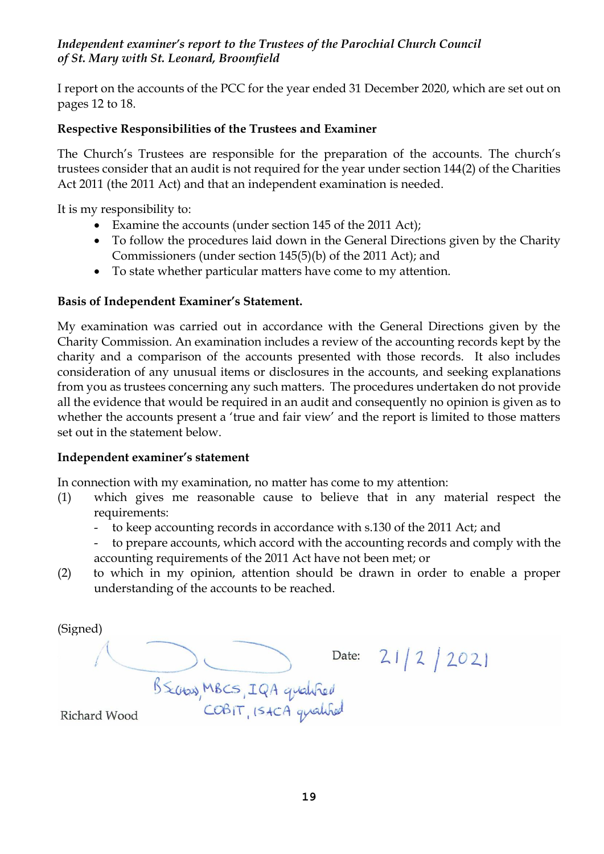### *Independent examiner's report to the Trustees of the Parochial Church Council of St. Mary with St. Leonard, Broomfield*

I report on the accounts of the PCC for the year ended 31 December 2020, which are set out on pages 12 to 18.

### **Respective Responsibilities of the Trustees and Examiner**

The Church's Trustees are responsible for the preparation of the accounts. The church's trustees consider that an audit is not required for the year under section 144(2) of the Charities Act 2011 (the 2011 Act) and that an independent examination is needed.

It is my responsibility to:

- Examine the accounts (under section 145 of the 2011 Act);
- To follow the procedures laid down in the General Directions given by the Charity Commissioners (under section 145(5)(b) of the 2011 Act); and
- To state whether particular matters have come to my attention.

### **Basis of Independent Examiner's Statement.**

My examination was carried out in accordance with the General Directions given by the Charity Commission. An examination includes a review of the accounting records kept by the charity and a comparison of the accounts presented with those records. It also includes consideration of any unusual items or disclosures in the accounts, and seeking explanations from you as trustees concerning any such matters. The procedures undertaken do not provide all the evidence that would be required in an audit and consequently no opinion is given as to whether the accounts present a 'true and fair view' and the report is limited to those matters set out in the statement below.

### **Independent examiner's statement**

In connection with my examination, no matter has come to my attention:

- (1) which gives me reasonable cause to believe that in any material respect the requirements:
	- to keep accounting records in accordance with s.130 of the 2011 Act; and
	- to prepare accounts, which accord with the accounting records and comply with the accounting requirements of the 2011 Act have not been met; or
- (2) to which in my opinion, attention should be drawn in order to enable a proper understanding of the accounts to be reached.

(Signed)Date: 21/2/2021 B Scoros, MBCS, IQA qualified Richard Wood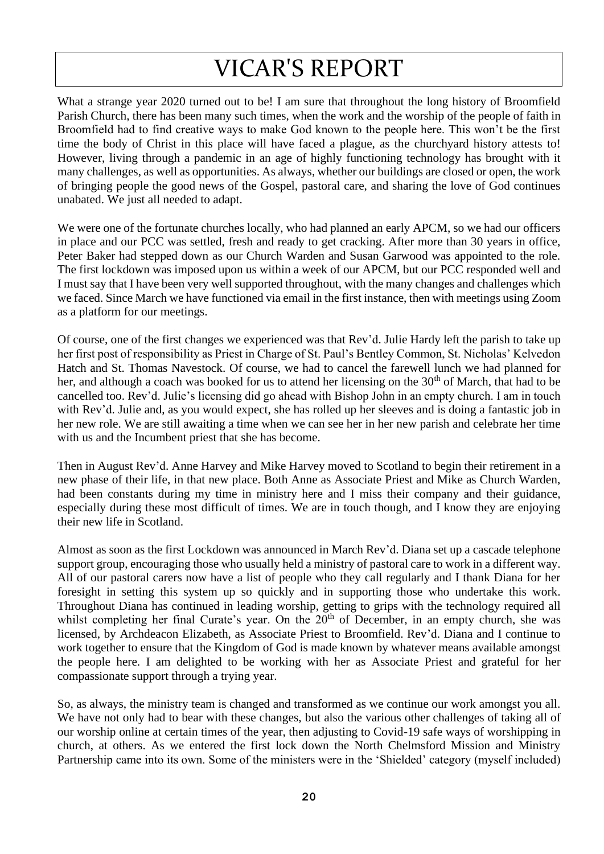# VICAR'S REPORT

What a strange year 2020 turned out to be! I am sure that throughout the long history of Broomfield Parish Church, there has been many such times, when the work and the worship of the people of faith in Broomfield had to find creative ways to make God known to the people here. This won't be the first time the body of Christ in this place will have faced a plague, as the churchyard history attests to! However, living through a pandemic in an age of highly functioning technology has brought with it many challenges, as well as opportunities. As always, whether our buildings are closed or open, the work of bringing people the good news of the Gospel, pastoral care, and sharing the love of God continues unabated. We just all needed to adapt.

We were one of the fortunate churches locally, who had planned an early APCM, so we had our officers in place and our PCC was settled, fresh and ready to get cracking. After more than 30 years in office, Peter Baker had stepped down as our Church Warden and Susan Garwood was appointed to the role. The first lockdown was imposed upon us within a week of our APCM, but our PCC responded well and I must say that I have been very well supported throughout, with the many changes and challenges which we faced. Since March we have functioned via email in the first instance, then with meetings using Zoom as a platform for our meetings.

Of course, one of the first changes we experienced was that Rev'd. Julie Hardy left the parish to take up her first post of responsibility as Priest in Charge of St. Paul's Bentley Common, St. Nicholas' Kelvedon Hatch and St. Thomas Navestock. Of course, we had to cancel the farewell lunch we had planned for her, and although a coach was booked for us to attend her licensing on the 30<sup>th</sup> of March, that had to be cancelled too. Rev'd. Julie's licensing did go ahead with Bishop John in an empty church. I am in touch with Rev'd. Julie and, as you would expect, she has rolled up her sleeves and is doing a fantastic job in her new role. We are still awaiting a time when we can see her in her new parish and celebrate her time with us and the Incumbent priest that she has become.

Then in August Rev'd. Anne Harvey and Mike Harvey moved to Scotland to begin their retirement in a new phase of their life, in that new place. Both Anne as Associate Priest and Mike as Church Warden, had been constants during my time in ministry here and I miss their company and their guidance, especially during these most difficult of times. We are in touch though, and I know they are enjoying their new life in Scotland.

Almost as soon as the first Lockdown was announced in March Rev'd. Diana set up a cascade telephone support group, encouraging those who usually held a ministry of pastoral care to work in a different way. All of our pastoral carers now have a list of people who they call regularly and I thank Diana for her foresight in setting this system up so quickly and in supporting those who undertake this work. Throughout Diana has continued in leading worship, getting to grips with the technology required all whilst completing her final Curate's year. On the  $20<sup>th</sup>$  of December, in an empty church, she was licensed, by Archdeacon Elizabeth, as Associate Priest to Broomfield. Rev'd. Diana and I continue to work together to ensure that the Kingdom of God is made known by whatever means available amongst the people here. I am delighted to be working with her as Associate Priest and grateful for her compassionate support through a trying year.

So, as always, the ministry team is changed and transformed as we continue our work amongst you all. We have not only had to bear with these changes, but also the various other challenges of taking all of our worship online at certain times of the year, then adjusting to Covid-19 safe ways of worshipping in church, at others. As we entered the first lock down the North Chelmsford Mission and Ministry Partnership came into its own. Some of the ministers were in the 'Shielded' category (myself included)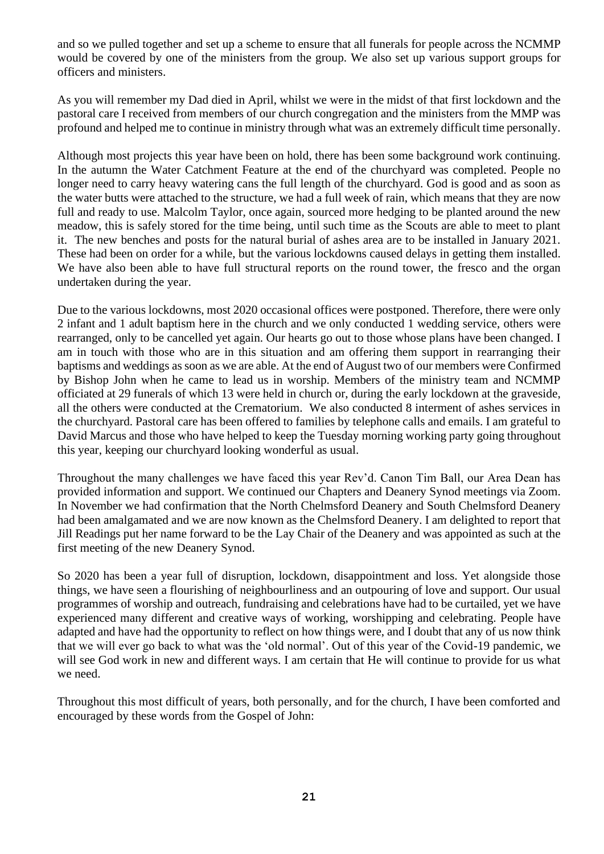and so we pulled together and set up a scheme to ensure that all funerals for people across the NCMMP would be covered by one of the ministers from the group. We also set up various support groups for officers and ministers.

As you will remember my Dad died in April, whilst we were in the midst of that first lockdown and the pastoral care I received from members of our church congregation and the ministers from the MMP was profound and helped me to continue in ministry through what was an extremely difficult time personally.

Although most projects this year have been on hold, there has been some background work continuing. In the autumn the Water Catchment Feature at the end of the churchyard was completed. People no longer need to carry heavy watering cans the full length of the churchyard. God is good and as soon as the water butts were attached to the structure, we had a full week of rain, which means that they are now full and ready to use. Malcolm Taylor, once again, sourced more hedging to be planted around the new meadow, this is safely stored for the time being, until such time as the Scouts are able to meet to plant it. The new benches and posts for the natural burial of ashes area are to be installed in January 2021. These had been on order for a while, but the various lockdowns caused delays in getting them installed. We have also been able to have full structural reports on the round tower, the fresco and the organ undertaken during the year.

Due to the various lockdowns, most 2020 occasional offices were postponed. Therefore, there were only 2 infant and 1 adult baptism here in the church and we only conducted 1 wedding service, others were rearranged, only to be cancelled yet again. Our hearts go out to those whose plans have been changed. I am in touch with those who are in this situation and am offering them support in rearranging their baptisms and weddings as soon as we are able. At the end of August two of our members were Confirmed by Bishop John when he came to lead us in worship. Members of the ministry team and NCMMP officiated at 29 funerals of which 13 were held in church or, during the early lockdown at the graveside, all the others were conducted at the Crematorium. We also conducted 8 interment of ashes services in the churchyard. Pastoral care has been offered to families by telephone calls and emails. I am grateful to David Marcus and those who have helped to keep the Tuesday morning working party going throughout this year, keeping our churchyard looking wonderful as usual.

Throughout the many challenges we have faced this year Rev'd. Canon Tim Ball, our Area Dean has provided information and support. We continued our Chapters and Deanery Synod meetings via Zoom. In November we had confirmation that the North Chelmsford Deanery and South Chelmsford Deanery had been amalgamated and we are now known as the Chelmsford Deanery. I am delighted to report that Jill Readings put her name forward to be the Lay Chair of the Deanery and was appointed as such at the first meeting of the new Deanery Synod.

So 2020 has been a year full of disruption, lockdown, disappointment and loss. Yet alongside those things, we have seen a flourishing of neighbourliness and an outpouring of love and support. Our usual programmes of worship and outreach, fundraising and celebrations have had to be curtailed, yet we have experienced many different and creative ways of working, worshipping and celebrating. People have adapted and have had the opportunity to reflect on how things were, and I doubt that any of us now think that we will ever go back to what was the 'old normal'. Out of this year of the Covid-19 pandemic, we will see God work in new and different ways. I am certain that He will continue to provide for us what we need.

Throughout this most difficult of years, both personally, and for the church, I have been comforted and encouraged by these words from the Gospel of John: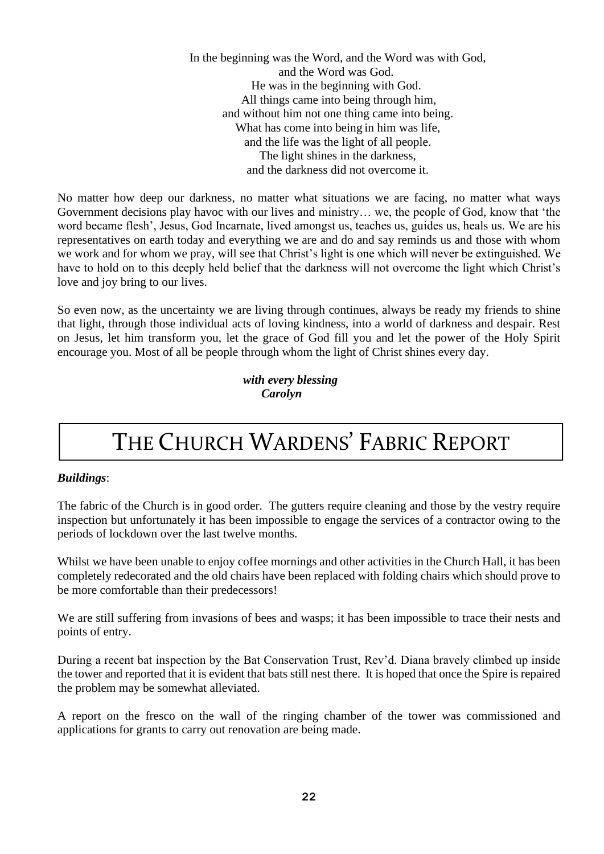In the beginning was the Word, and the Word was with God, and the Word was God. He was in the beginning with God. All things came into being through him, and without him not one thing came into being. What has come into being in him was life, and the life was the light of all people. The light shines in the darkness, and the darkness did not overcome it.

No matter how deep our darkness, no matter what situations we are facing, no matter what ways Government decisions play havoc with our lives and ministry… we, the people of God, know that 'the word became flesh', Jesus, God Incarnate, lived amongst us, teaches us, guides us, heals us. We are his representatives on earth today and everything we are and do and say reminds us and those with whom we work and for whom we pray, will see that Christ's light is one which will never be extinguished. We have to hold on to this deeply held belief that the darkness will not overcome the light which Christ's love and joy bring to our lives.

So even now, as the uncertainty we are living through continues, always be ready my friends to shine that light, through those individual acts of loving kindness, into a world of darkness and despair. Rest on Jesus, let him transform you, let the grace of God fill you and let the power of the Holy Spirit encourage you. Most of all be people through whom the light of Christ shines every day.

> *with every blessing Carolyn*

# THE CHURCH WARDENS' FABRIC REPORT

### *Buildings*:

The fabric of the Church is in good order. The gutters require cleaning and those by the vestry require inspection but unfortunately it has been impossible to engage the services of a contractor owing to the periods of lockdown over the last twelve months.

Whilst we have been unable to enjoy coffee mornings and other activities in the Church Hall, it has been completely redecorated and the old chairs have been replaced with folding chairs which should prove to be more comfortable than their predecessors!

We are still suffering from invasions of bees and wasps; it has been impossible to trace their nests and points of entry.

During a recent bat inspection by the Bat Conservation Trust, Rev'd. Diana bravely climbed up inside the tower and reported that it is evident that bats still nest there. It is hoped that once the Spire is repaired the problem may be somewhat alleviated.

A report on the fresco on the wall of the ringing chamber of the tower was commissioned and applications for grants to carry out renovation are being made.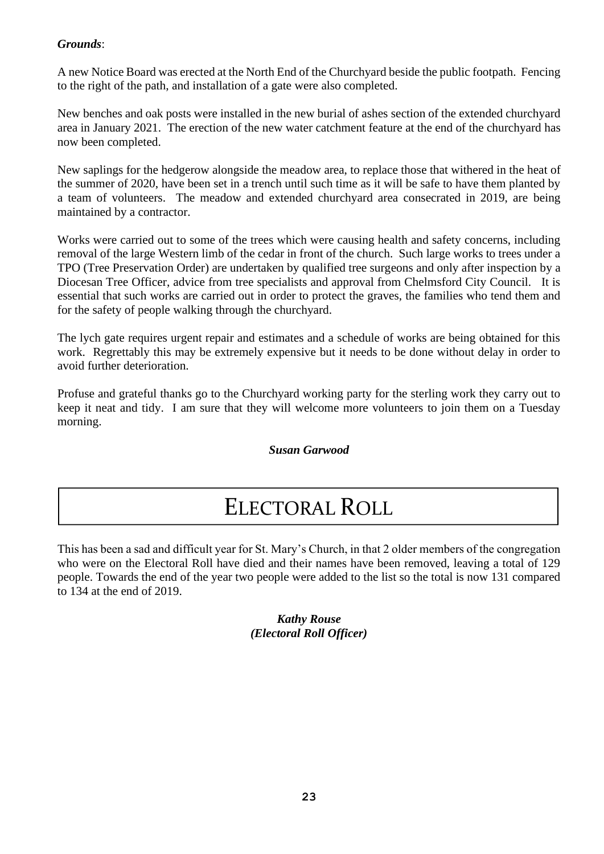### *Grounds*:

A new Notice Board was erected at the North End of the Churchyard beside the public footpath. Fencing to the right of the path, and installation of a gate were also completed.

New benches and oak posts were installed in the new burial of ashes section of the extended churchyard area in January 2021. The erection of the new water catchment feature at the end of the churchyard has now been completed.

New saplings for the hedgerow alongside the meadow area, to replace those that withered in the heat of the summer of 2020, have been set in a trench until such time as it will be safe to have them planted by a team of volunteers. The meadow and extended churchyard area consecrated in 2019, are being maintained by a contractor.

Works were carried out to some of the trees which were causing health and safety concerns, including removal of the large Western limb of the cedar in front of the church. Such large works to trees under a TPO (Tree Preservation Order) are undertaken by qualified tree surgeons and only after inspection by a Diocesan Tree Officer, advice from tree specialists and approval from Chelmsford City Council. It is essential that such works are carried out in order to protect the graves, the families who tend them and for the safety of people walking through the churchyard.

The lych gate requires urgent repair and estimates and a schedule of works are being obtained for this work. Regrettably this may be extremely expensive but it needs to be done without delay in order to avoid further deterioration.

Profuse and grateful thanks go to the Churchyard working party for the sterling work they carry out to keep it neat and tidy. I am sure that they will welcome more volunteers to join them on a Tuesday morning.

*Susan Garwood*

### ELECTORAL ROLL

This has been a sad and difficult year for St. Mary's Church, in that 2 older members of the congregation who were on the Electoral Roll have died and their names have been removed, leaving a total of 129 people. Towards the end of the year two people were added to the list so the total is now 131 compared to 134 at the end of 2019.

> *Kathy Rouse (Electoral Roll Officer)*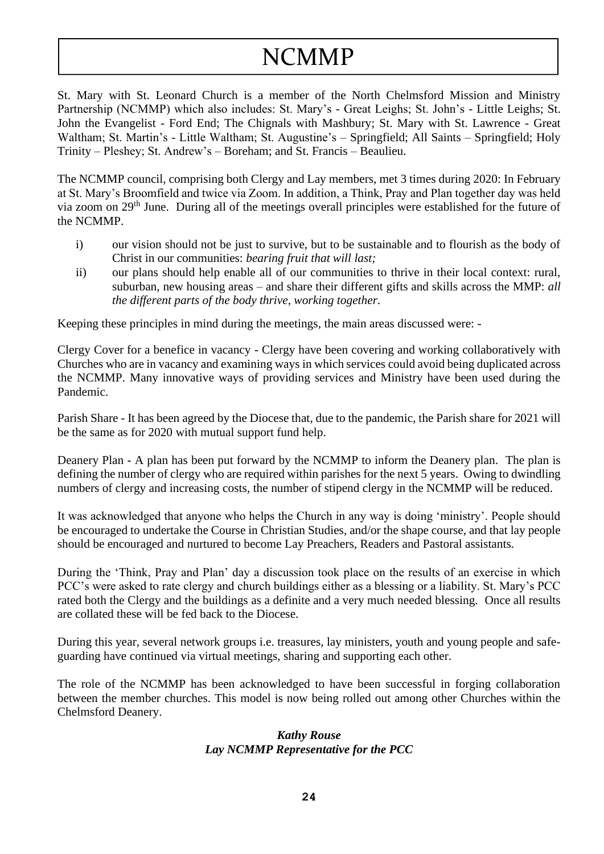# NCMMP

St. Mary with St. Leonard Church is a member of the North Chelmsford Mission and Ministry Partnership (NCMMP) which also includes: St. Mary's - Great Leighs; St. John's - Little Leighs; St. John the Evangelist - Ford End; The Chignals with Mashbury; St. Mary with St. Lawrence - Great Waltham; St. Martin's - Little Waltham; St. Augustine's – Springfield; All Saints – Springfield; Holy Trinity – Pleshey; St. Andrew's – Boreham; and St. Francis – Beaulieu.

The NCMMP council, comprising both Clergy and Lay members, met 3 times during 2020: In February at St. Mary's Broomfield and twice via Zoom. In addition, a Think, Pray and Plan together day was held via zoom on 29<sup>th</sup> June. During all of the meetings overall principles were established for the future of the NCMMP.

- i) our vision should not be just to survive, but to be sustainable and to flourish as the body of Christ in our communities: *bearing fruit that will last;*
- ii) our plans should help enable all of our communities to thrive in their local context: rural, suburban, new housing areas – and share their different gifts and skills across the MMP: *all the different parts of the body thrive, working together.*

Keeping these principles in mind during the meetings, the main areas discussed were: -

Clergy Cover for a benefice in vacancy - Clergy have been covering and working collaboratively with Churches who are in vacancy and examining ways in which services could avoid being duplicated across the NCMMP. Many innovative ways of providing services and Ministry have been used during the Pandemic.

Parish Share - It has been agreed by the Diocese that, due to the pandemic, the Parish share for 2021 will be the same as for 2020 with mutual support fund help.

Deanery Plan - A plan has been put forward by the NCMMP to inform the Deanery plan. The plan is defining the number of clergy who are required within parishes for the next 5 years. Owing to dwindling numbers of clergy and increasing costs, the number of stipend clergy in the NCMMP will be reduced.

It was acknowledged that anyone who helps the Church in any way is doing 'ministry'. People should be encouraged to undertake the Course in Christian Studies, and/or the shape course, and that lay people should be encouraged and nurtured to become Lay Preachers, Readers and Pastoral assistants.

During the 'Think, Pray and Plan' day a discussion took place on the results of an exercise in which PCC's were asked to rate clergy and church buildings either as a blessing or a liability. St. Mary's PCC rated both the Clergy and the buildings as a definite and a very much needed blessing. Once all results are collated these will be fed back to the Diocese.

During this year, several network groups i.e. treasures, lay ministers, youth and young people and safeguarding have continued via virtual meetings, sharing and supporting each other.

The role of the NCMMP has been acknowledged to have been successful in forging collaboration between the member churches. This model is now being rolled out among other Churches within the Chelmsford Deanery.

#### *Kathy Rouse Lay NCMMP Representative for the PCC*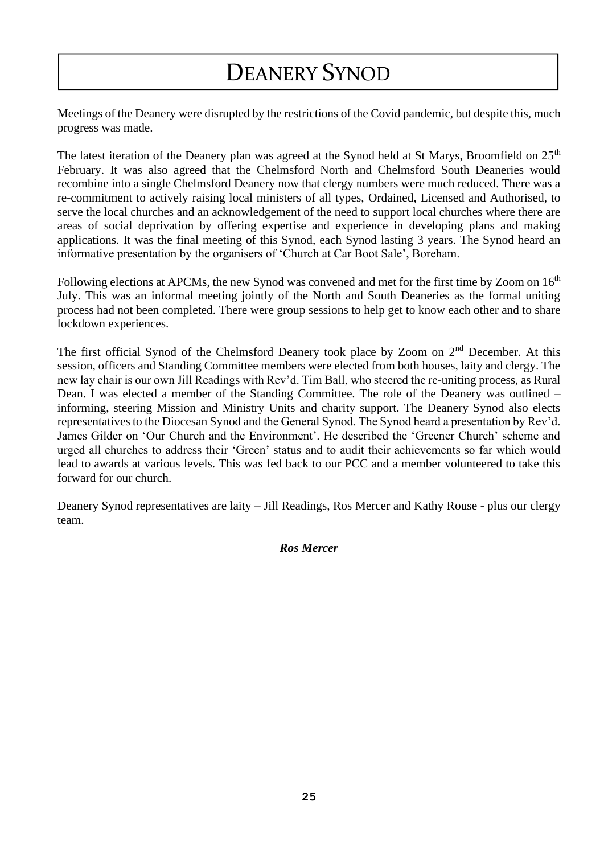### DEANERY SYNOD

Meetings of the Deanery were disrupted by the restrictions of the Covid pandemic, but despite this, much progress was made.

The latest iteration of the Deanery plan was agreed at the Synod held at St Marys, Broomfield on 25<sup>th</sup> February. It was also agreed that the Chelmsford North and Chelmsford South Deaneries would recombine into a single Chelmsford Deanery now that clergy numbers were much reduced. There was a re-commitment to actively raising local ministers of all types, Ordained, Licensed and Authorised, to serve the local churches and an acknowledgement of the need to support local churches where there are areas of social deprivation by offering expertise and experience in developing plans and making applications. It was the final meeting of this Synod, each Synod lasting 3 years. The Synod heard an informative presentation by the organisers of 'Church at Car Boot Sale', Boreham.

Following elections at APCMs, the new Synod was convened and met for the first time by Zoom on 16<sup>th</sup> July. This was an informal meeting jointly of the North and South Deaneries as the formal uniting process had not been completed. There were group sessions to help get to know each other and to share lockdown experiences.

The first official Synod of the Chelmsford Deanery took place by Zoom on  $2<sup>nd</sup>$  December. At this session, officers and Standing Committee members were elected from both houses, laity and clergy. The new lay chair is our own Jill Readings with Rev'd. Tim Ball, who steered the re-uniting process, as Rural Dean. I was elected a member of the Standing Committee. The role of the Deanery was outlined – informing, steering Mission and Ministry Units and charity support. The Deanery Synod also elects representatives to the Diocesan Synod and the General Synod. The Synod heard a presentation by Rev'd. James Gilder on 'Our Church and the Environment'. He described the 'Greener Church' scheme and urged all churches to address their 'Green' status and to audit their achievements so far which would lead to awards at various levels. This was fed back to our PCC and a member volunteered to take this forward for our church.

Deanery Synod representatives are laity – Jill Readings, Ros Mercer and Kathy Rouse - plus our clergy team.

#### *Ros Mercer*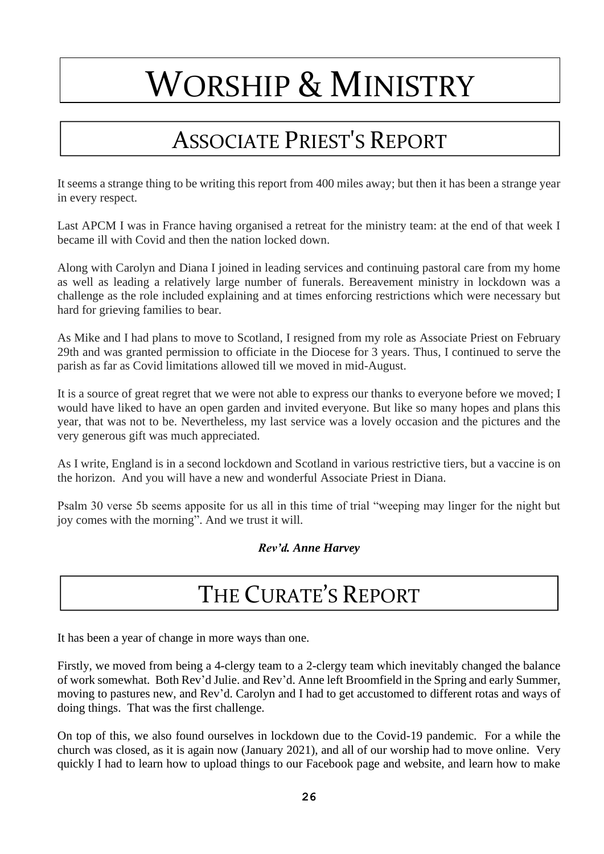# WORSHIP & MINISTRY

### ASSOCIATE PRIEST'S REPORT

It seems a strange thing to be writing this report from 400 miles away; but then it has been a strange year in every respect.

Last APCM I was in France having organised a retreat for the ministry team: at the end of that week I became ill with Covid and then the nation locked down.

Along with Carolyn and Diana I joined in leading services and continuing pastoral care from my home as well as leading a relatively large number of funerals. Bereavement ministry in lockdown was a challenge as the role included explaining and at times enforcing restrictions which were necessary but hard for grieving families to bear.

As Mike and I had plans to move to Scotland, I resigned from my role as Associate Priest on February 29th and was granted permission to officiate in the Diocese for 3 years. Thus, I continued to serve the parish as far as Covid limitations allowed till we moved in mid-August.

It is a source of great regret that we were not able to express our thanks to everyone before we moved; I would have liked to have an open garden and invited everyone. But like so many hopes and plans this year, that was not to be. Nevertheless, my last service was a lovely occasion and the pictures and the very generous gift was much appreciated.

As I write, England is in a second lockdown and Scotland in various restrictive tiers, but a vaccine is on the horizon. And you will have a new and wonderful Associate Priest in Diana.

Psalm 30 verse 5b seems apposite for us all in this time of trial "weeping may linger for the night but joy comes with the morning". And we trust it will.

### *Rev'd. Anne Harvey*

### THE CURATE'S REPORT

It has been a year of change in more ways than one.

Firstly, we moved from being a 4-clergy team to a 2-clergy team which inevitably changed the balance of work somewhat. Both Rev'd Julie. and Rev'd. Anne left Broomfield in the Spring and early Summer, moving to pastures new, and Rev'd. Carolyn and I had to get accustomed to different rotas and ways of doing things. That was the first challenge.

On top of this, we also found ourselves in lockdown due to the Covid-19 pandemic. For a while the church was closed, as it is again now (January 2021), and all of our worship had to move online. Very quickly I had to learn how to upload things to our Facebook page and website, and learn how to make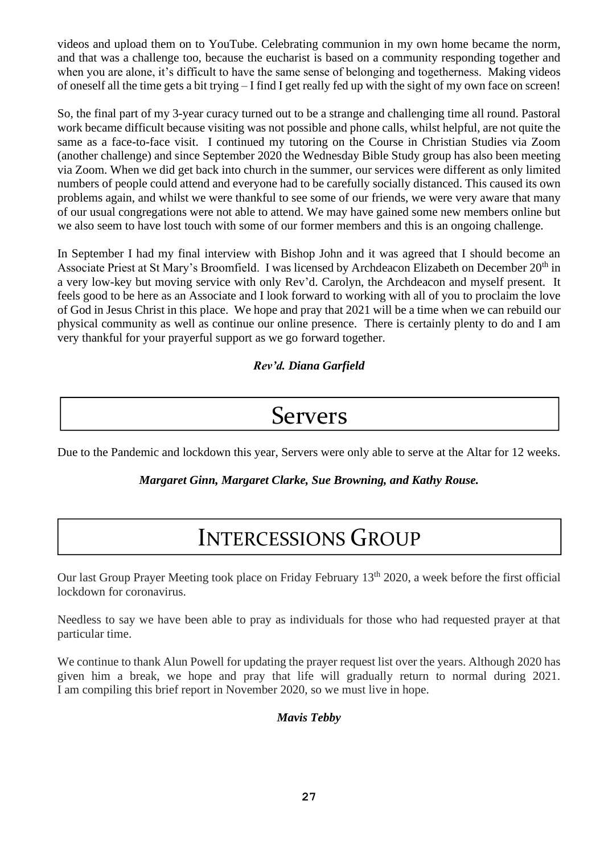videos and upload them on to YouTube. Celebrating communion in my own home became the norm, and that was a challenge too, because the eucharist is based on a community responding together and when you are alone, it's difficult to have the same sense of belonging and togetherness. Making videos of oneself all the time gets a bit trying – I find I get really fed up with the sight of my own face on screen!

So, the final part of my 3-year curacy turned out to be a strange and challenging time all round. Pastoral work became difficult because visiting was not possible and phone calls, whilst helpful, are not quite the same as a face-to-face visit. I continued my tutoring on the Course in Christian Studies via Zoom (another challenge) and since September 2020 the Wednesday Bible Study group has also been meeting via Zoom. When we did get back into church in the summer, our services were different as only limited numbers of people could attend and everyone had to be carefully socially distanced. This caused its own problems again, and whilst we were thankful to see some of our friends, we were very aware that many of our usual congregations were not able to attend. We may have gained some new members online but we also seem to have lost touch with some of our former members and this is an ongoing challenge.

In September I had my final interview with Bishop John and it was agreed that I should become an Associate Priest at St Mary's Broomfield. I was licensed by Archdeacon Elizabeth on December 20<sup>th</sup> in a very low-key but moving service with only Rev'd. Carolyn, the Archdeacon and myself present. It feels good to be here as an Associate and I look forward to working with all of you to proclaim the love of God in Jesus Christ in this place. We hope and pray that 2021 will be a time when we can rebuild our physical community as well as continue our online presence. There is certainly plenty to do and I am very thankful for your prayerful support as we go forward together.

*Rev'd. Diana Garfield*

### Servers

Due to the Pandemic and lockdown this year, Servers were only able to serve at the Altar for 12 weeks.

*Margaret Ginn, Margaret Clarke, Sue Browning, and Kathy Rouse.*

### INTERCESSIONS GROUP

Our last Group Prayer Meeting took place on Friday February 13<sup>th</sup> 2020, a week before the first official lockdown for coronavirus.

Needless to say we have been able to pray as individuals for those who had requested prayer at that particular time.

We continue to thank Alun Powell for updating the prayer request list over the years. Although 2020 has given him a break, we hope and pray that life will gradually return to normal during 2021. I am compiling this brief report in November 2020, so we must live in hope.

### *Mavis Tebby*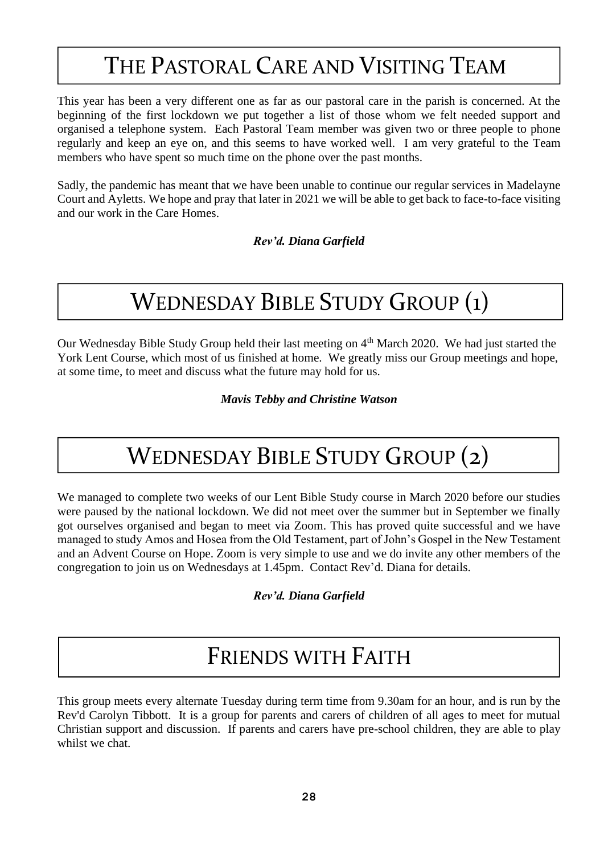### THE PASTORAL CARE AND VISITING TEAM

I

This year has been a very different one as far as our pastoral care in the parish is concerned. At the beginning of the first lockdown we put together a list of those whom we felt needed support and organised a telephone system. Each Pastoral Team member was given two or three people to phone regularly and keep an eye on, and this seems to have worked well. I am very grateful to the Team members who have spent so much time on the phone over the past months.

Sadly, the pandemic has meant that we have been unable to continue our regular services in Madelayne Court and Ayletts. We hope and pray that later in 2021 we will be able to get back to face-to-face visiting and our work in the Care Homes.

*Rev'd. Diana Garfield*

### WEDNESDAY BIBLE STUDY GROUP (1)

Our Wednesday Bible Study Group held their last meeting on 4<sup>th</sup> March 2020. We had just started the York Lent Course, which most of us finished at home. We greatly miss our Group meetings and hope, at some time, to meet and discuss what the future may hold for us.

*Mavis Tebby and Christine Watson*

### WEDNESDAY BIBLE STUDY GROUP (2)

We managed to complete two weeks of our Lent Bible Study course in March 2020 before our studies were paused by the national lockdown. We did not meet over the summer but in September we finally got ourselves organised and began to meet via Zoom. This has proved quite successful and we have managed to study Amos and Hosea from the Old Testament, part of John's Gospel in the New Testament and an Advent Course on Hope. Zoom is very simple to use and we do invite any other members of the congregation to join us on Wednesdays at 1.45pm. Contact Rev'd. Diana for details.

*Rev'd. Diana Garfield*

### FRIENDS WITH FAITH

This group meets every alternate Tuesday during term time from 9.30am for an hour, and is run by the Rev'd Carolyn Tibbott. It is a group for parents and carers of children of all ages to meet for mutual Christian support and discussion. If parents and carers have pre-school children, they are able to play whilst we chat.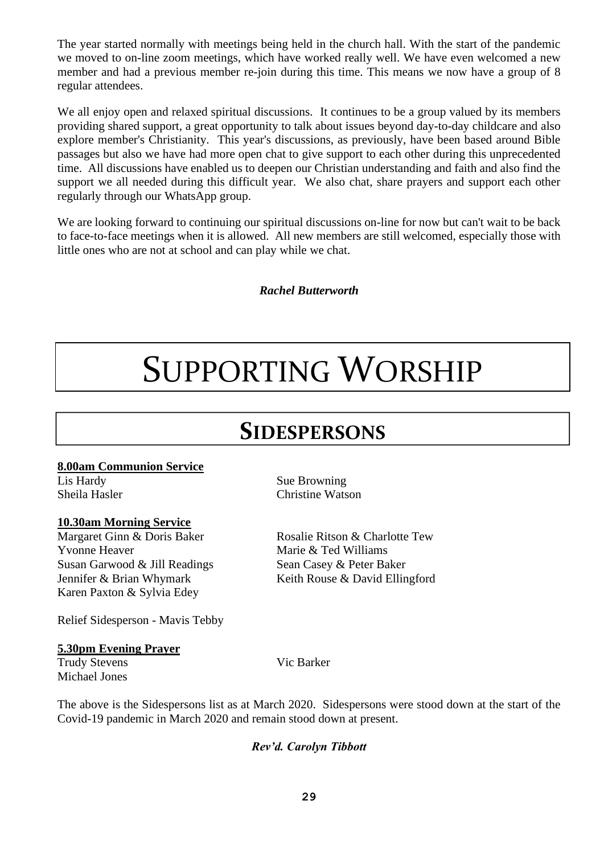The year started normally with meetings being held in the church hall. With the start of the pandemic we moved to on-line zoom meetings, which have worked really well. We have even welcomed a new member and had a previous member re-join during this time. This means we now have a group of 8 regular attendees.

We all enjoy open and relaxed spiritual discussions. It continues to be a group valued by its members providing shared support, a great opportunity to talk about issues beyond day-to-day childcare and also explore member's Christianity. This year's discussions, as previously, have been based around Bible passages but also we have had more open chat to give support to each other during this unprecedented time. All discussions have enabled us to deepen our Christian understanding and faith and also find the support we all needed during this difficult year. We also chat, share prayers and support each other regularly through our WhatsApp group.

We are looking forward to continuing our spiritual discussions on-line for now but can't wait to be back to face-to-face meetings when it is allowed. All new members are still welcomed, especially those with little ones who are not at school and can play while we chat.

*Rachel Butterworth*

# SUPPORTING WORSHIP

### **SIDESPERSONS**

### **8.00am Communion Service**

### **10.30am Morning Service**

Margaret Ginn & Doris Baker Rosalie Ritson & Charlotte Tew Yvonne Heaver Marie & Ted Williams Susan Garwood & Jill Readings Sean Casey & Peter Baker Karen Paxton & Sylvia Edey

Lis Hardy Sue Browning Sheila Hasler Christine Watson

Jennifer & Brian Whymark Keith Rouse & David Ellingford

Relief Sidesperson - Mavis Tebby

### **5.30pm Evening Prayer**

Trudy Stevens Vic Barker Michael Jones

The above is the Sidespersons list as at March 2020. Sidespersons were stood down at the start of the Covid-19 pandemic in March 2020 and remain stood down at present.

### *Rev'd. Carolyn Tibbott*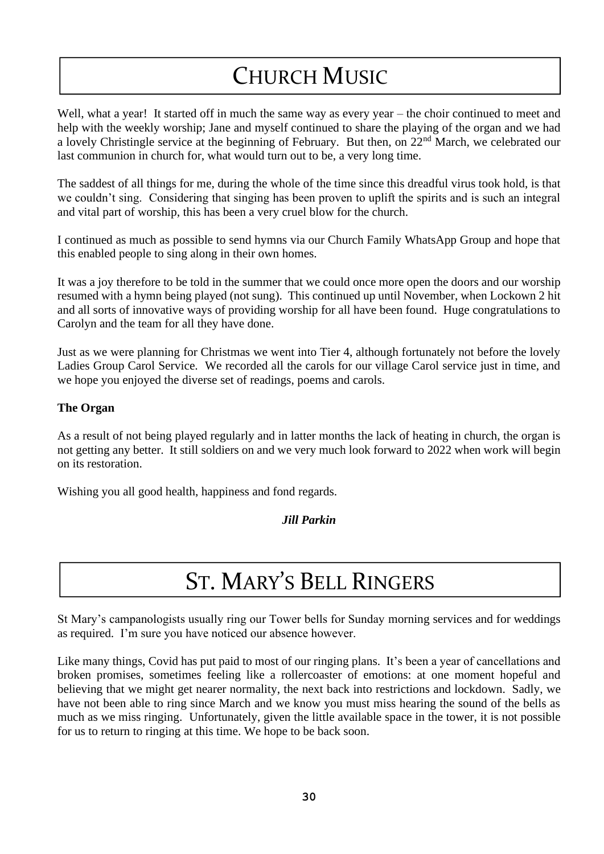# CHURCH MUSIC

Well, what a year! It started off in much the same way as every year – the choir continued to meet and help with the weekly worship; Jane and myself continued to share the playing of the organ and we had a lovely Christingle service at the beginning of February. But then, on 22nd March, we celebrated our last communion in church for, what would turn out to be, a very long time.

The saddest of all things for me, during the whole of the time since this dreadful virus took hold, is that we couldn't sing. Considering that singing has been proven to uplift the spirits and is such an integral and vital part of worship, this has been a very cruel blow for the church.

I continued as much as possible to send hymns via our Church Family WhatsApp Group and hope that this enabled people to sing along in their own homes.

It was a joy therefore to be told in the summer that we could once more open the doors and our worship resumed with a hymn being played (not sung). This continued up until November, when Lockown 2 hit and all sorts of innovative ways of providing worship for all have been found. Huge congratulations to Carolyn and the team for all they have done.

Just as we were planning for Christmas we went into Tier 4, although fortunately not before the lovely Ladies Group Carol Service. We recorded all the carols for our village Carol service just in time, and we hope you enjoyed the diverse set of readings, poems and carols.

### **The Organ**

As a result of not being played regularly and in latter months the lack of heating in church, the organ is not getting any better. It still soldiers on and we very much look forward to 2022 when work will begin on its restoration.

Wishing you all good health, happiness and fond regards.

*Jill Parkin*

# ST. MARY'S BELL RINGERS

St Mary's campanologists usually ring our Tower bells for Sunday morning services and for weddings as required. I'm sure you have noticed our absence however.

Like many things, Covid has put paid to most of our ringing plans. It's been a year of cancellations and broken promises, sometimes feeling like a rollercoaster of emotions: at one moment hopeful and believing that we might get nearer normality, the next back into restrictions and lockdown. Sadly, we have not been able to ring since March and we know you must miss hearing the sound of the bells as much as we miss ringing. Unfortunately, given the little available space in the tower, it is not possible for us to return to ringing at this time. We hope to be back soon.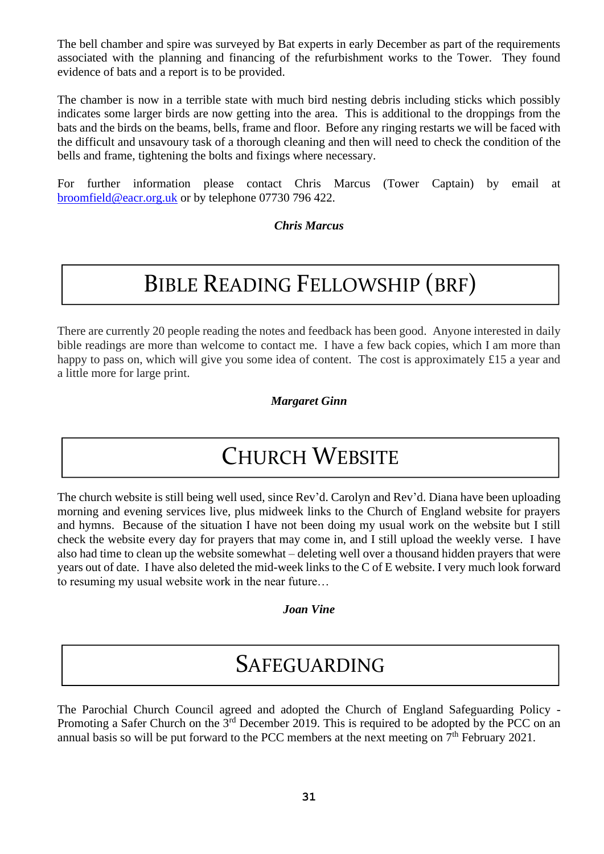The bell chamber and spire was surveyed by Bat experts in early December as part of the requirements associated with the planning and financing of the refurbishment works to the Tower. They found evidence of bats and a report is to be provided.

The chamber is now in a terrible state with much bird nesting debris including sticks which possibly indicates some larger birds are now getting into the area. This is additional to the droppings from the bats and the birds on the beams, bells, frame and floor. Before any ringing restarts we will be faced with the difficult and unsavoury task of a thorough cleaning and then will need to check the condition of the bells and frame, tightening the bolts and fixings where necessary.

For further information please contact Chris Marcus (Tower Captain) by email at [broomfield@eacr.org.uk](mailto:broomfield@eacr.org.uk) or by telephone 07730 796 422.

*Chris Marcus*

# BIBLE READING FELLOWSHIP (BRF)

There are currently 20 people reading the notes and feedback has been good. Anyone interested in daily bible readings are more than welcome to contact me. I have a few back copies, which I am more than happy to pass on, which will give you some idea of content. The cost is approximately £15 a year and a little more for large print.

*Margaret Ginn*

### CHURCH WEBSITE

The church website is still being well used, since Rev'd. Carolyn and Rev'd. Diana have been uploading morning and evening services live, plus midweek links to the Church of England website for prayers and hymns. Because of the situation I have not been doing my usual work on the website but I still check the website every day for prayers that may come in, and I still upload the weekly verse. I have also had time to clean up the website somewhat – deleting well over a thousand hidden prayers that were years out of date. I have also deleted the mid-week links to the C of E website. I very much look forward to resuming my usual website work in the near future…

*Joan Vine*

### SAFEGUARDING

The Parochial Church Council agreed and adopted the Church of England Safeguarding Policy - Promoting a Safer Church on the 3<sup>rd</sup> December 2019. This is required to be adopted by the PCC on an annual basis so will be put forward to the PCC members at the next meeting on  $7<sup>th</sup>$  February 2021.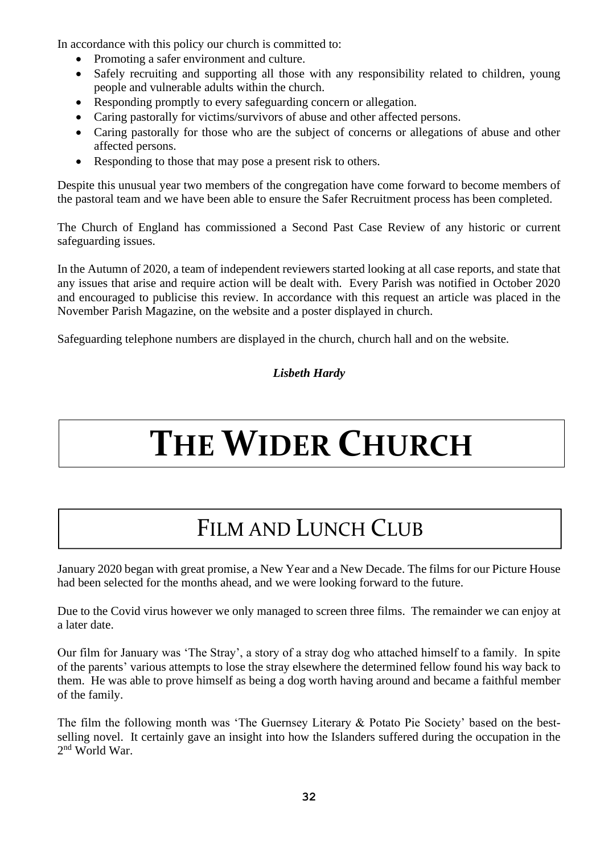In accordance with this policy our church is committed to:

- Promoting a safer environment and culture.
- Safely recruiting and supporting all those with any responsibility related to children, young people and vulnerable adults within the church.
- Responding promptly to every safeguarding concern or allegation.
- Caring pastorally for victims/survivors of abuse and other affected persons.
- Caring pastorally for those who are the subject of concerns or allegations of abuse and other affected persons.
- Responding to those that may pose a present risk to others.

Despite this unusual year two members of the congregation have come forward to become members of the pastoral team and we have been able to ensure the Safer Recruitment process has been completed.

The Church of England has commissioned a Second Past Case Review of any historic or current safeguarding issues.

In the Autumn of 2020, a team of independent reviewers started looking at all case reports, and state that any issues that arise and require action will be dealt with. Every Parish was notified in October 2020 and encouraged to publicise this review. In accordance with this request an article was placed in the November Parish Magazine, on the website and a poster displayed in church.

Safeguarding telephone numbers are displayed in the church, church hall and on the website.

### *Lisbeth Hardy*

# **THE WIDER CHURCH**

# FILM AND LUNCH CLUB

January 2020 began with great promise, a New Year and a New Decade. The films for our Picture House had been selected for the months ahead, and we were looking forward to the future.

Due to the Covid virus however we only managed to screen three films. The remainder we can enjoy at a later date.

Our film for January was 'The Stray', a story of a stray dog who attached himself to a family. In spite of the parents' various attempts to lose the stray elsewhere the determined fellow found his way back to them. He was able to prove himself as being a dog worth having around and became a faithful member of the family.

The film the following month was 'The Guernsey Literary & Potato Pie Society' based on the bestselling novel. It certainly gave an insight into how the Islanders suffered during the occupation in the 2 nd World War.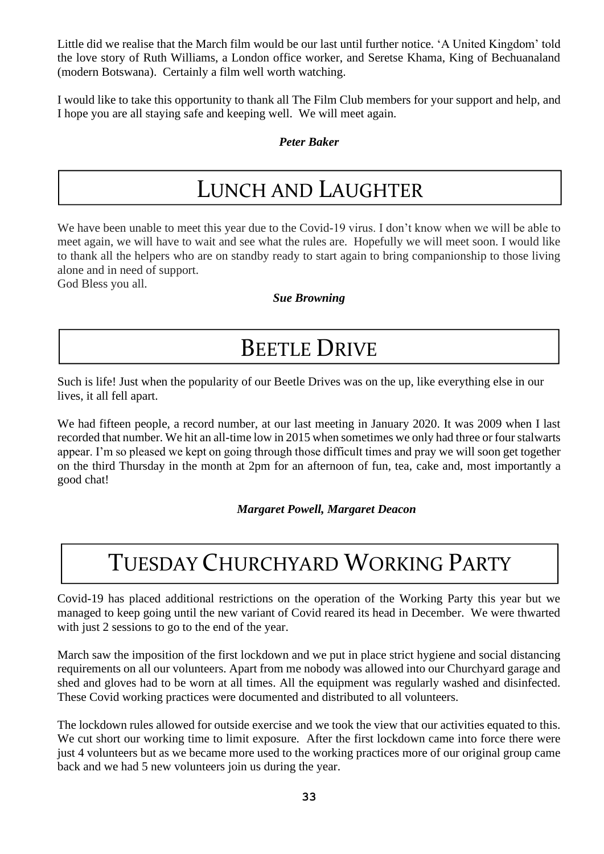Little did we realise that the March film would be our last until further notice. 'A United Kingdom' told the love story of Ruth Williams, a London office worker, and Seretse Khama, King of Bechuanaland (modern Botswana). Certainly a film well worth watching.

I would like to take this opportunity to thank all The Film Club members for your support and help, and I hope you are all staying safe and keeping well. We will meet again.

### *Peter Baker*

### LUNCH AND LAUGHTER

We have been unable to meet this year due to the Covid-19 virus. I don't know when we will be able to meet again, we will have to wait and see what the rules are. Hopefully we will meet soon. I would like to thank all the helpers who are on standby ready to start again to bring companionship to those living alone and in need of support.

God Bless you all.

### *Sue Browning*

### BEETLE DRIVE

Such is life! Just when the popularity of our Beetle Drives was on the up, like everything else in our lives, it all fell apart.

We had fifteen people, a record number, at our last meeting in January 2020. It was 2009 when I last recorded that number. We hit an all-time low in 2015 when sometimes we only had three or four stalwarts appear. I'm so pleased we kept on going through those difficult times and pray we will soon get together on the third Thursday in the month at 2pm for an afternoon of fun, tea, cake and, most importantly a good chat!

 *Margaret Powell, Margaret Deacon*

# TUESDAY CHURCHYARD WORKING PARTY

Covid-19 has placed additional restrictions on the operation of the Working Party this year but we managed to keep going until the new variant of Covid reared its head in December. We were thwarted with just 2 sessions to go to the end of the year.

March saw the imposition of the first lockdown and we put in place strict hygiene and social distancing requirements on all our volunteers. Apart from me nobody was allowed into our Churchyard garage and shed and gloves had to be worn at all times. All the equipment was regularly washed and disinfected. These Covid working practices were documented and distributed to all volunteers.

The lockdown rules allowed for outside exercise and we took the view that our activities equated to this. We cut short our working time to limit exposure. After the first lockdown came into force there were just 4 volunteers but as we became more used to the working practices more of our original group came back and we had 5 new volunteers join us during the year.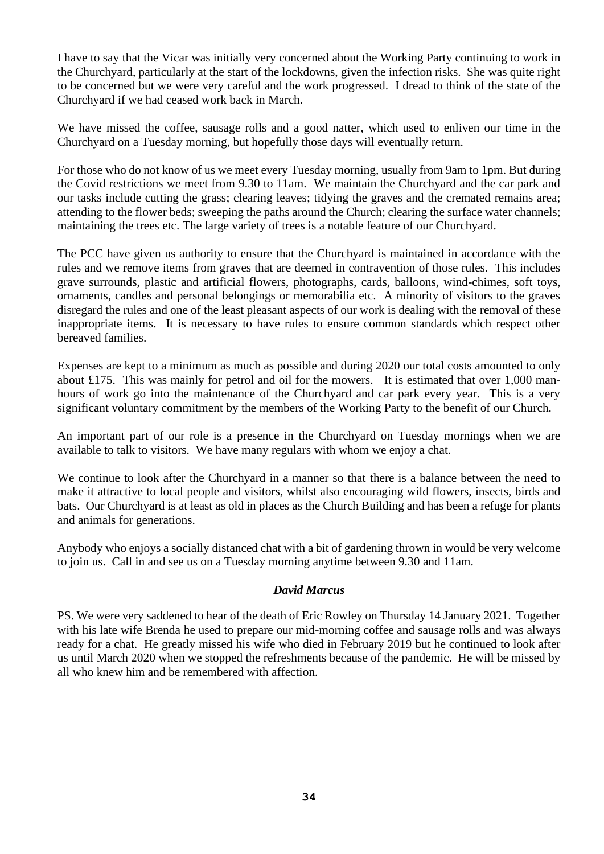I have to say that the Vicar was initially very concerned about the Working Party continuing to work in the Churchyard, particularly at the start of the lockdowns, given the infection risks. She was quite right to be concerned but we were very careful and the work progressed. I dread to think of the state of the Churchyard if we had ceased work back in March.

We have missed the coffee, sausage rolls and a good natter, which used to enliven our time in the Churchyard on a Tuesday morning, but hopefully those days will eventually return.

For those who do not know of us we meet every Tuesday morning, usually from 9am to 1pm. But during the Covid restrictions we meet from 9.30 to 11am. We maintain the Churchyard and the car park and our tasks include cutting the grass; clearing leaves; tidying the graves and the cremated remains area; attending to the flower beds; sweeping the paths around the Church; clearing the surface water channels; maintaining the trees etc. The large variety of trees is a notable feature of our Churchyard.

The PCC have given us authority to ensure that the Churchyard is maintained in accordance with the rules and we remove items from graves that are deemed in contravention of those rules. This includes grave surrounds, plastic and artificial flowers, photographs, cards, balloons, wind-chimes, soft toys, ornaments, candles and personal belongings or memorabilia etc. A minority of visitors to the graves disregard the rules and one of the least pleasant aspects of our work is dealing with the removal of these inappropriate items. It is necessary to have rules to ensure common standards which respect other bereaved families.

Expenses are kept to a minimum as much as possible and during 2020 our total costs amounted to only about £175. This was mainly for petrol and oil for the mowers. It is estimated that over 1,000 manhours of work go into the maintenance of the Churchyard and car park every year. This is a very significant voluntary commitment by the members of the Working Party to the benefit of our Church.

An important part of our role is a presence in the Churchyard on Tuesday mornings when we are available to talk to visitors. We have many regulars with whom we enjoy a chat.

We continue to look after the Churchyard in a manner so that there is a balance between the need to make it attractive to local people and visitors, whilst also encouraging wild flowers, insects, birds and bats. Our Churchyard is at least as old in places as the Church Building and has been a refuge for plants and animals for generations.

Anybody who enjoys a socially distanced chat with a bit of gardening thrown in would be very welcome to join us. Call in and see us on a Tuesday morning anytime between 9.30 and 11am.

#### *David Marcus*

PS. We were very saddened to hear of the death of Eric Rowley on Thursday 14 January 2021. Together with his late wife Brenda he used to prepare our mid-morning coffee and sausage rolls and was always ready for a chat. He greatly missed his wife who died in February 2019 but he continued to look after us until March 2020 when we stopped the refreshments because of the pandemic. He will be missed by all who knew him and be remembered with affection.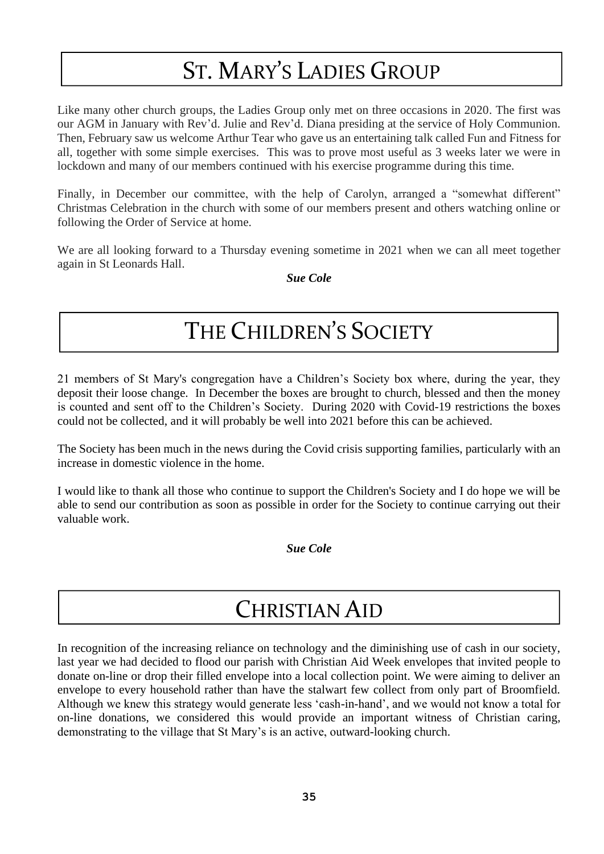# ST. MARY'S LADIES GROUP

Like many other church groups, the Ladies Group only met on three occasions in 2020. The first was our AGM in January with Rev'd. Julie and Rev'd. Diana presiding at the service of Holy Communion. Then, February saw us welcome Arthur Tear who gave us an entertaining talk called Fun and Fitness for all, together with some simple exercises. This was to prove most useful as 3 weeks later we were in lockdown and many of our members continued with his exercise programme during this time.

Finally, in December our committee, with the help of Carolyn, arranged a "somewhat different" Christmas Celebration in the church with some of our members present and others watching online or following the Order of Service at home.

We are all looking forward to a Thursday evening sometime in 2021 when we can all meet together again in St Leonards Hall.

*Sue Cole*

### THE CHILDREN'S SOCIETY

21 members of St Mary's congregation have a Children's Society box where, during the year, they deposit their loose change. In December the boxes are brought to church, blessed and then the money is counted and sent off to the Children's Society. During 2020 with Covid-19 restrictions the boxes could not be collected, and it will probably be well into 2021 before this can be achieved.

The Society has been much in the news during the Covid crisis supporting families, particularly with an increase in domestic violence in the home.

I would like to thank all those who continue to support the Children's Society and I do hope we will be able to send our contribution as soon as possible in order for the Society to continue carrying out their valuable work.

*Sue Cole*

### CHRISTIAN AID

In recognition of the increasing reliance on technology and the diminishing use of cash in our society, last year we had decided to flood our parish with Christian Aid Week envelopes that invited people to donate on-line or drop their filled envelope into a local collection point. We were aiming to deliver an envelope to every household rather than have the stalwart few collect from only part of Broomfield. Although we knew this strategy would generate less 'cash-in-hand', and we would not know a total for D on-line donations, we considered this would provide an important witness of Christian caring, demonstrating to the village that St Mary's is an active, outward-looking church.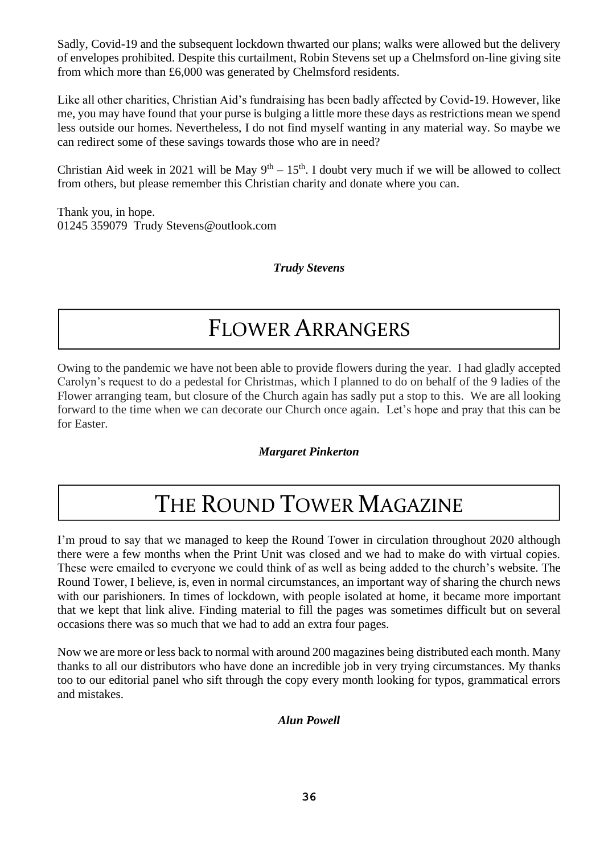Sadly, Covid-19 and the subsequent lockdown thwarted our plans; walks were allowed but the delivery of envelopes prohibited. Despite this curtailment, Robin Stevens set up a Chelmsford on-line giving site from which more than £6,000 was generated by Chelmsford residents.

Like all other charities, Christian Aid's fundraising has been badly affected by Covid-19. However, like me, you may have found that your purse is bulging a little more these days as restrictions mean we spend less outside our homes. Nevertheless, I do not find myself wanting in any material way. So maybe we can redirect some of these savings towards those who are in need?

Christian Aid week in 2021 will be May  $9<sup>th</sup> - 15<sup>th</sup>$ . I doubt very much if we will be allowed to collect from others, but please remember this Christian charity and donate where you can.

Thank you, in hope. 01245 359079 Trudy Stevens@outlook.com

*Trudy Stevens*

### FLOWER ARRANGERS

Owing to the pandemic we have not been able to provide flowers during the year. I had gladly accepted Carolyn's request to do a pedestal for Christmas, which I planned to do on behalf of the 9 ladies of the Flower arranging team, but closure of the Church again has sadly put a stop to this. We are all looking forward to the time when we can decorate our Church once again. Let's hope and pray that this can be for Easter.

### *Margaret Pinkerton*

# THE ROUND TOWER MAGAZINE

I'm proud to say that we managed to keep the Round Tower in circulation throughout 2020 although there were a few months when the Print Unit was closed and we had to make do with virtual copies. These were emailed to everyone we could think of as well as being added to the church's website. The Round Tower, I believe, is, even in normal circumstances, an important way of sharing the church news with our parishioners. In times of lockdown, with people isolated at home, it became more important that we kept that link alive. Finding material to fill the pages was sometimes difficult but on several occasions there was so much that we had to add an extra four pages.

Now we are more or less back to normal with around 200 magazines being distributed each month. Many thanks to all our distributors who have done an incredible job in very trying circumstances. My thanks too to our editorial panel who sift through the copy every month looking for typos, grammatical errors and mistakes.

### *Alun Powell*